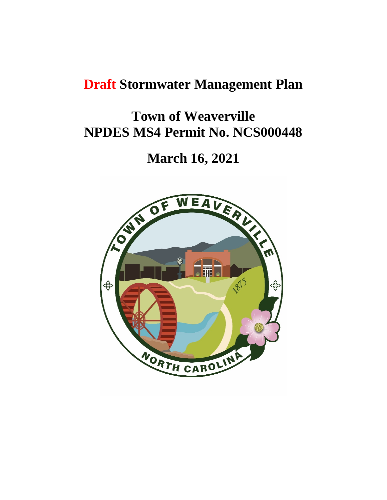# **Draft Stormwater Management Plan**

# **Town of Weaverville NPDES MS4 Permit No. NCS000448**

# **March 16, 2021**

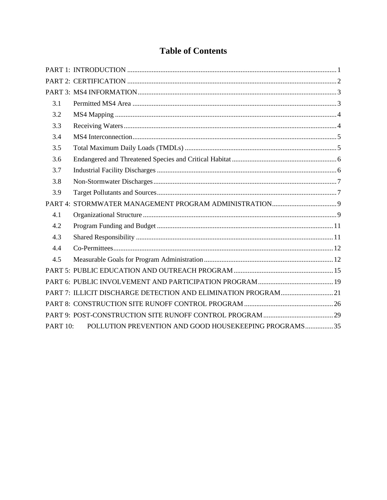# **Table of Contents**

| 3.1             |                                                                |
|-----------------|----------------------------------------------------------------|
| 3.2             |                                                                |
| 3.3             |                                                                |
| 3.4             |                                                                |
| 3.5             |                                                                |
| 3.6             |                                                                |
| 3.7             |                                                                |
| 3.8             |                                                                |
| 3.9             |                                                                |
|                 |                                                                |
| 4.1             |                                                                |
| 4.2             |                                                                |
| 4.3             |                                                                |
| 4.4             |                                                                |
| 4.5             |                                                                |
|                 |                                                                |
|                 |                                                                |
|                 | PART 7: ILLICIT DISCHARGE DETECTION AND ELIMINATION PROGRAM 21 |
|                 |                                                                |
|                 |                                                                |
| <b>PART 10:</b> | POLLUTION PREVENTION AND GOOD HOUSEKEEPING PROGRAMS35          |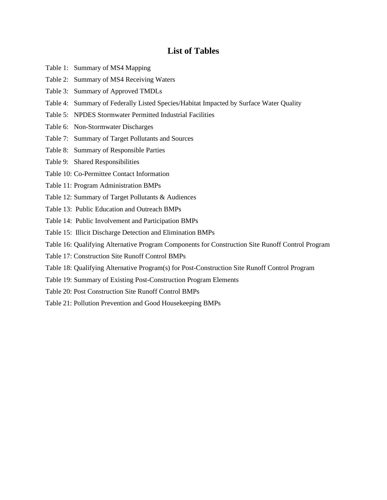# **List of Tables**

- Table 1: Summary of MS4 Mapping
- Table 2: Summary of MS4 Receiving Waters
- Table 3: Summary of Approved TMDLs
- Table 4: Summary of Federally Listed Species/Habitat Impacted by Surface Water Quality
- Table 5: NPDES Stormwater Permitted Industrial Facilities
- Table 6: Non-Stormwater Discharges
- Table 7: Summary of Target Pollutants and Sources
- Table 8: Summary of Responsible Parties
- Table 9: Shared Responsibilities
- Table 10: Co-Permittee Contact Information
- Table 11: Program Administration BMPs
- Table 12: Summary of Target Pollutants & Audiences
- Table 13: Public Education and Outreach BMPs
- Table 14: Public Involvement and Participation BMPs
- Table 15: Illicit Discharge Detection and Elimination BMPs
- Table 16: Qualifying Alternative Program Components for Construction Site Runoff Control Program
- Table 17: Construction Site Runoff Control BMPs
- Table 18: Qualifying Alternative Program(s) for Post-Construction Site Runoff Control Program
- Table 19: Summary of Existing Post-Construction Program Elements
- Table 20: Post Construction Site Runoff Control BMPs
- Table 21: Pollution Prevention and Good Housekeeping BMPs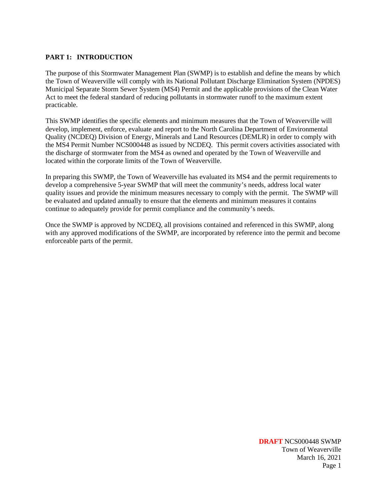# **PART 1: INTRODUCTION**

The purpose of this Stormwater Management Plan (SWMP) is to establish and define the means by which the Town of Weaverville will comply with its National Pollutant Discharge Elimination System (NPDES) Municipal Separate Storm Sewer System (MS4) Permit and the applicable provisions of the Clean Water Act to meet the federal standard of reducing pollutants in stormwater runoff to the maximum extent practicable.

This SWMP identifies the specific elements and minimum measures that the Town of Weaverville will develop, implement, enforce, evaluate and report to the North Carolina Department of Environmental Quality (NCDEQ) Division of Energy, Minerals and Land Resources (DEMLR) in order to comply with the MS4 Permit Number NCS000448 as issued by NCDEQ. This permit covers activities associated with the discharge of stormwater from the MS4 as owned and operated by the Town of Weaverville and located within the corporate limits of the Town of Weaverville.

In preparing this SWMP, the Town of Weaverville has evaluated its MS4 and the permit requirements to develop a comprehensive 5-year SWMP that will meet the community's needs, address local water quality issues and provide the minimum measures necessary to comply with the permit. The SWMP will be evaluated and updated annually to ensure that the elements and minimum measures it contains continue to adequately provide for permit compliance and the community's needs.

Once the SWMP is approved by NCDEQ, all provisions contained and referenced in this SWMP, along with any approved modifications of the SWMP, are incorporated by reference into the permit and become enforceable parts of the permit.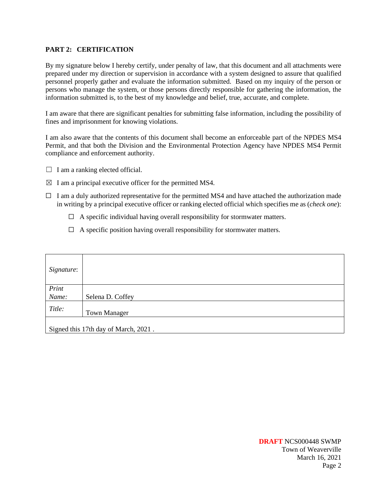#### **PART 2: CERTIFICATION**

By my signature below I hereby certify, under penalty of law, that this document and all attachments were prepared under my direction or supervision in accordance with a system designed to assure that qualified personnel properly gather and evaluate the information submitted. Based on my inquiry of the person or persons who manage the system, or those persons directly responsible for gathering the information, the information submitted is, to the best of my knowledge and belief, true, accurate, and complete.

I am aware that there are significant penalties for submitting false information, including the possibility of fines and imprisonment for knowing violations.

I am also aware that the contents of this document shall become an enforceable part of the NPDES MS4 Permit, and that both the Division and the Environmental Protection Agency have NPDES MS4 Permit compliance and enforcement authority.

- $\Box$  I am a ranking elected official.
- $\boxtimes$  I am a principal executive officer for the permitted MS4.
- $\Box$  I am a duly authorized representative for the permitted MS4 and have attached the authorization made in writing by a principal executive officer or ranking elected official which specifies me as (*check one*):
	- $\Box$  A specific individual having overall responsibility for stormwater matters.
	- $\Box$  A specific position having overall responsibility for stormwater matters.

| Signature:    |                      |
|---------------|----------------------|
| Print         |                      |
| Name:         | Selena D. Coffey     |
| Title:        | <b>Town Manager</b>  |
| Signed this 1 | thay of March, 2021. |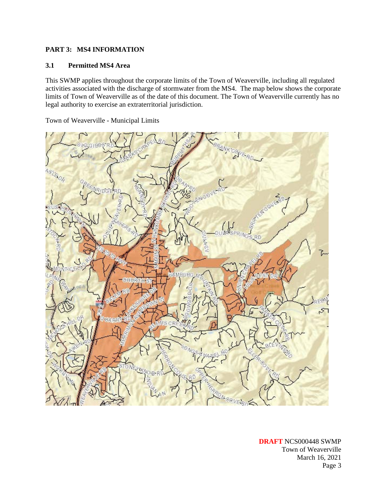# **PART 3: MS4 INFORMATION**

#### **3.1 Permitted MS4 Area**

This SWMP applies throughout the corporate limits of the Town of Weaverville, including all regulated activities associated with the discharge of stormwater from the MS4. The map below shows the corporate limits of Town of Weaverville as of the date of this document. The Town of Weaverville currently has no legal authority to exercise an extraterritorial jurisdiction.

Town of Weaverville - Municipal Limits



**DRAFT** NCS000448 SWMP Town of Weaverville March 16, 2021 Page 3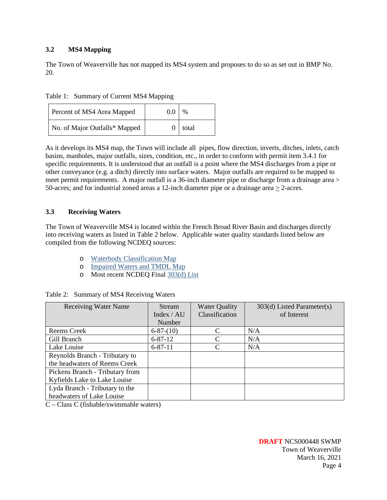# **3.2 MS4 Mapping**

The Town of Weaverville has not mapped its MS4 system and proposes to do so as set out in BMP No. 20.

| Table 1: Summary of Current MS4 Mapping |  |  |
|-----------------------------------------|--|--|
|                                         |  |  |

| Percent of MS4 Area Mapped    | 0.0 | %         |
|-------------------------------|-----|-----------|
| No. of Major Outfalls* Mapped |     | $0$ total |

As it develops its MS4 map, the Town will include all pipes, flow direction, inverts, ditches, inlets, catch basins, manholes, major outfalls, sizes, condition, etc., in order to conform with permit item 3.4.1 for specific requirements. It is understood that an outfall is a point where the MS4 discharges from a pipe or other conveyance (e.g. a ditch) directly into surface waters. Major outfalls are required to be mapped to meet permit requirements. A major outfall is a 36-inch diameter pipe or discharge from a drainage area > 50-acres; and for industrial zoned areas a 12-inch diameter pipe or a drainage area > 2-acres.

# **3.3 Receiving Waters**

The Town of Weaverville MS4 is located within the French Broad River Basin and discharges directly into receiving waters as listed in Table 2 below. Applicable water quality standards listed below are compiled from the following NCDEQ sources:

- o [Waterbody Classification Map](https://ncdenr.maps.arcgis.com/apps/webappviewer/index.html?id=6e125ad7628f494694e259c80dd64265)
- o [Impaired Waters and TMDL Map](https://ncdenr.maps.arcgis.com/apps/webappviewer/index.html?id=e9be6474b041491d8b4c0b77edace6bd)
- o Most recent NCDEQ Final [303\(d\) List](https://deq.nc.gov/about/divisions/water-resources/planning/modeling-assessment/water-quality-data-assessment/integrated-report-files)

|  |  | Table 2: Summary of MS4 Receiving Waters |
|--|--|------------------------------------------|
|--|--|------------------------------------------|

| <b>Receiving Water Name</b>     | Stream          | <b>Water Quality</b> | 303(d) Listed Parameter(s) |
|---------------------------------|-----------------|----------------------|----------------------------|
|                                 | Index $/$ AU    | Classification       | of Interest                |
|                                 | Number          |                      |                            |
| Reems Creek                     | $6 - 87 - (10)$ |                      | N/A                        |
| Gill Branch                     | $6 - 87 - 12$   |                      | N/A                        |
| Lake Louise                     | $6 - 87 - 11$   |                      | N/A                        |
| Reynolds Branch - Tributary to  |                 |                      |                            |
| the headwaters of Reems Creek   |                 |                      |                            |
| Pickens Branch - Tributary from |                 |                      |                            |
| Kyfields Lake to Lake Louise    |                 |                      |                            |
| Lyda Branch - Tributary to the  |                 |                      |                            |
| headwaters of Lake Louise       |                 |                      |                            |

C – Class C (fishable/swimmable waters)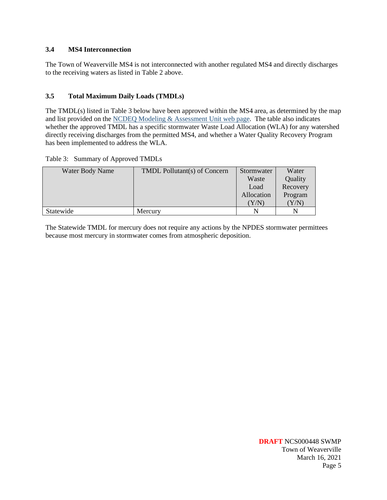#### **3.4 MS4 Interconnection**

The Town of Weaverville MS4 is not interconnected with another regulated MS4 and directly discharges to the receiving waters as listed in Table 2 above.

### **3.5 Total Maximum Daily Loads (TMDLs)**

The TMDL(s) listed in Table 3 below have been approved within the MS4 area, as determined by the map and list provided on th[e NCDEQ Modeling & Assessment Unit web page.](https://deq.nc.gov/about/divisions/water-resources/planning/modeling-assessment/tmdls/draft-and-approved-tmdls) The table also indicates whether the approved TMDL has a specific stormwater Waste Load Allocation (WLA) for any watershed directly receiving discharges from the permitted MS4, and whether a Water Quality Recovery Program has been implemented to address the WLA.

Table 3: Summary of Approved TMDLs

| Water Body Name | <b>TMDL Pollutant(s) of Concern</b> | Stormwater  | Water    |
|-----------------|-------------------------------------|-------------|----------|
|                 |                                     | Waste       | Quality  |
|                 |                                     | Load        | Recovery |
|                 |                                     | Allocation  | Program  |
|                 |                                     | ${\rm Y/N}$ | Y/N)     |
| Statewide       | Mercury                             | N           | N        |

The Statewide TMDL for mercury does not require any actions by the NPDES stormwater permittees because most mercury in stormwater comes from atmospheric deposition.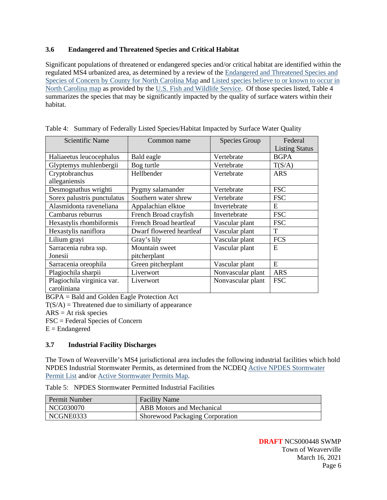# **3.6 Endangered and Threatened Species and Critical Habitat**

Significant populations of threatened or endangered species and/or critical habitat are identified within the regulated MS4 urbanized area, as determined by a review of the [Endangered and Threatened Species and](https://www.fws.gov/raleigh/species/cntylist/nc_counties.html)  Species of Concern by [County for North Carolina Map](https://www.fws.gov/raleigh/species/cntylist/nc_counties.html) and [Listed species believe to or known to occur in](https://ecos.fws.gov/ecp0/reports/species-listed-by-state-report?state=NC&status=listed)  [North Carolina map](https://ecos.fws.gov/ecp0/reports/species-listed-by-state-report?state=NC&status=listed) as provided by the [U.S. Fish and Wildlife Service.](https://www.fws.gov/endangered/?s8fid=112761032793&s8fid=112762573903&countyName=Wake) Of those species listed, Table 4 summarizes the species that may be significantly impacted by the quality of surface waters within their habitat.

| Scientific Name             | Common name                   | Species Group     | Federal               |
|-----------------------------|-------------------------------|-------------------|-----------------------|
|                             |                               |                   |                       |
|                             |                               |                   | <b>Listing Status</b> |
| Haliaeetus leucocephalus    | Bald eagle                    | Vertebrate        | <b>BGPA</b>           |
| Glyptemys muhlenbergii      | Bog turtle                    | Vertebrate        | T(S/A)                |
| Cryptobranchus              | Hellbender                    | Vertebrate        | <b>ARS</b>            |
| alleganiensis               |                               |                   |                       |
| Desmognathus wrighti        | Pygmy salamander              | Vertebrate        | <b>FSC</b>            |
| Sorex palustris punctulatus | Southern water shrew          | Vertebrate        | <b>FSC</b>            |
| Alasmidonta raveneliana     | Appalachian elktoe            | Invertebrate      | E                     |
| Cambarus reburrus           | French Broad crayfish         | Invertebrate      | <b>FSC</b>            |
| Hexastylis rhombiformis     | <b>French Broad heartleaf</b> | Vascular plant    | <b>FSC</b>            |
| Hexastylis naniflora        | Dwarf flowered heartleaf      | Vascular plant    | T                     |
| Lilium grayi                | Gray's lily                   | Vascular plant    | <b>FCS</b>            |
| Sarracenia rubra ssp.       | Mountain sweet                | Vascular plant    | E                     |
| Jonesii                     | pitcherplant                  |                   |                       |
| Sarracenia oreophila        | Green pitcherplant            | Vascular plant    | E                     |
| Plagiochila sharpii         | Liverwort                     | Nonvascular plant | <b>ARS</b>            |
| Plagiochila virginica var.  | Liverwort                     | Nonvascular plant | <b>FSC</b>            |
| caroliniana                 |                               |                   |                       |

Table 4: Summary of Federally Listed Species/Habitat Impacted by Surface Water Quality

BGPA = Bald and Golden Eagle Protection Act

 $T(S/A)$  = Threatened due to similiarty of appearance

 $ARS = At$  risk species

FSC = Federal Species of Concern

 $E =$ Endangered

# **3.7 Industrial Facility Discharges**

The Town of Weaverville's MS4 jurisdictional area includes the following industrial facilities which hold NPDES Industrial Stormwater Permits, as determined from the NCDEQ [Active NPDES Stormwater](https://files.nc.gov/ncdeq/Energy%20Mineral%20and%20Land%20Resources/Stormwater/Active%20Permits/Active-NPDES-SW-20181201-Addresses-DEMLR-SW.xlsx) [Permit List](https://files.nc.gov/ncdeq/Energy%20Mineral%20and%20Land%20Resources/Stormwater/Active%20Permits/Active-NPDES-SW-20181201-Addresses-DEMLR-SW.xlsx) and/or [Active Stormwater Permits Map.](https://ncdenr.maps.arcgis.com/apps/webappviewer/index.html?id=93b173a969fd4790bd49256df37360f4)

Table 5: NPDES Stormwater Permitted Industrial Facilities

| Permit Number | <b>Facility Name</b>            |
|---------------|---------------------------------|
| NCG030070     | ABB Motors and Mechanical       |
| NCGNE0333     | Shorewood Packaging Corporation |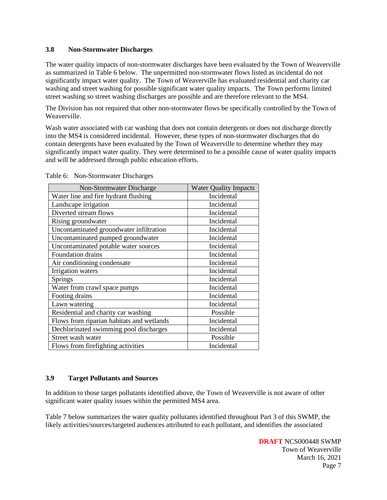#### **3.8 Non-Stormwater Discharges**

The water quality impacts of non-stormwater discharges have been evaluated by the Town of Weaverville as summarized in Table 6 below. The unpermitted non-stormwater flows listed as incidental do not significantly impact water quality. The Town of Weaverville has evaluated residential and charity car washing and street washing for possible significant water quality impacts. The Town performs limited street washing so street washing discharges are possible and are therefore relevant to the MS4.

The Division has not required that other non-stormwater flows be specifically controlled by the Town of Weaverville.

Wash water associated with car washing that does not contain detergents or does not discharge directly into the MS4 is considered incidental. However, these types of non-stormwater discharges that do contain detergents have been evaluated by the Town of Weaverville to determine whether they may significantly impact water quality. They were determined to be a possible cause of water quality impacts and will be addressed through public education efforts.

| Non-Stormwater Discharge                  | <b>Water Quality Impacts</b> |
|-------------------------------------------|------------------------------|
| Water line and fire hydrant flushing      | Incidental                   |
| Landscape irrigation                      | Incidental                   |
| Diverted stream flows                     | Incidental                   |
| Rising groundwater                        | Incidental                   |
| Uncontaminated groundwater infiltration   | Incidental                   |
| Uncontaminated pumped groundwater         | Incidental                   |
| Uncontaminated potable water sources      | Incidental                   |
| Foundation drains                         | Incidental                   |
| Air conditioning condensate               | Incidental                   |
| Irrigation waters                         | Incidental                   |
| Springs                                   | Incidental                   |
| Water from crawl space pumps              | Incidental                   |
| Footing drains                            | Incidental                   |
| Lawn watering                             | Incidental                   |
| Residential and charity car washing       | Possible                     |
| Flows from riparian habitats and wetlands | Incidental                   |
| Dechlorinated swimming pool discharges    | Incidental                   |
| Street wash water                         | Possible                     |
| Flows from firefighting activities        | Incidental                   |

Table 6: Non-Stormwater Discharges

# **3.9 Target Pollutants and Sources**

In addition to those target pollutants identified above, the Town of Weaverville is not aware of other significant water quality issues within the permitted MS4 area.

Table 7 below summarizes the water quality pollutants identified throughout Part 3 of this SWMP, the likely activities/sources/targeted audiences attributed to each pollutant, and identifies the associated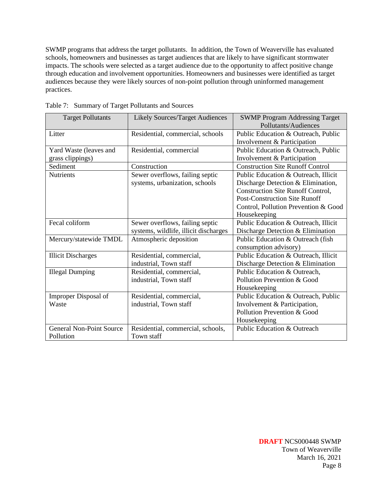SWMP programs that address the target pollutants. In addition, the Town of Weaverville has evaluated schools, homeowners and businesses as target audiences that are likely to have significant stormwater impacts. The schools were selected as a target audience due to the opportunity to affect positive change through education and involvement opportunities. Homeowners and businesses were identified as target audiences because they were likely sources of non-point pollution through uninformed management practices.

| <b>Target Pollutants</b>        | <b>Likely Sources/Target Audiences</b> | <b>SWMP Program Addressing Target</b>    |
|---------------------------------|----------------------------------------|------------------------------------------|
|                                 |                                        | Pollutants/Audiences                     |
| Litter                          | Residential, commercial, schools       | Public Education & Outreach, Public      |
|                                 |                                        | Involvement & Participation              |
| Yard Waste (leaves and          | Residential, commercial                | Public Education & Outreach, Public      |
| grass clippings)                |                                        | Involvement & Participation              |
| Sediment                        | Construction                           | <b>Construction Site Runoff Control</b>  |
| <b>Nutrients</b>                | Sewer overflows, failing septic        | Public Education & Outreach, Illicit     |
|                                 | systems, urbanization, schools         | Discharge Detection & Elimination,       |
|                                 |                                        | <b>Construction Site Runoff Control,</b> |
|                                 |                                        | <b>Post-Construction Site Runoff</b>     |
|                                 |                                        | Control, Pollution Prevention & Good     |
|                                 |                                        | Housekeeping                             |
| Fecal coliform                  | Sewer overflows, failing septic        | Public Education & Outreach, Illicit     |
|                                 | systems, wildlife, illicit discharges  | Discharge Detection & Elimination        |
| Mercury/statewide TMDL          | Atmospheric deposition                 | Public Education & Outreach (fish        |
|                                 |                                        | consumption advisory)                    |
| <b>Illicit Discharges</b>       | Residential, commercial,               | Public Education & Outreach, Illicit     |
|                                 | industrial, Town staff                 | Discharge Detection & Elimination        |
| <b>Illegal Dumping</b>          | Residential, commercial,               | Public Education & Outreach,             |
|                                 | industrial, Town staff                 | Pollution Prevention & Good              |
|                                 |                                        | Housekeeping                             |
| Improper Disposal of            | Residential, commercial,               | Public Education & Outreach, Public      |
| Waste                           | industrial, Town staff                 | Involvement & Participation,             |
|                                 |                                        | Pollution Prevention & Good              |
|                                 |                                        | Housekeeping                             |
| <b>General Non-Point Source</b> | Residential, commercial, schools,      | <b>Public Education &amp; Outreach</b>   |
| Pollution                       | Town staff                             |                                          |

Table 7: Summary of Target Pollutants and Sources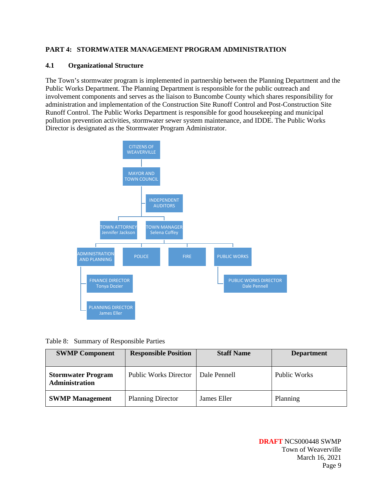# **PART 4: STORMWATER MANAGEMENT PROGRAM ADMINISTRATION**

#### **4.1 Organizational Structure**

The Town's stormwater program is implemented in partnership between the Planning Department and the Public Works Department. The Planning Department is responsible for the public outreach and involvement components and serves as the liaison to Buncombe County which shares responsibility for administration and implementation of the Construction Site Runoff Control and Post-Construction Site Runoff Control. The Public Works Department is responsible for good housekeeping and municipal pollution prevention activities, stormwater sewer system maintenance, and IDDE. The Public Works Director is designated as the Stormwater Program Administrator.



|  |  | Table 8: Summary of Responsible Parties |  |
|--|--|-----------------------------------------|--|
|--|--|-----------------------------------------|--|

| <b>SWMP Component</b>                              | <b>Responsible Position</b>  | <b>Staff Name</b> | <b>Department</b> |
|----------------------------------------------------|------------------------------|-------------------|-------------------|
| <b>Stormwater Program</b><br><b>Administration</b> | <b>Public Works Director</b> | Dale Pennell      | Public Works      |
| <b>SWMP Management</b>                             | <b>Planning Director</b>     | James Eller       | Planning          |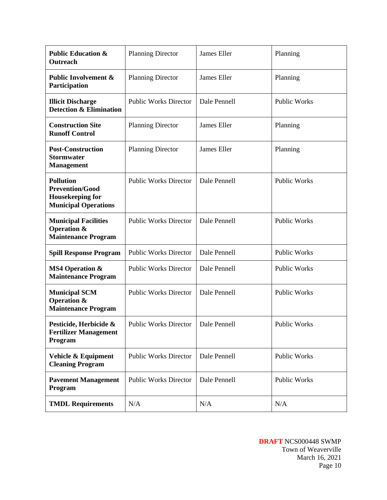| <b>Public Education &amp;</b><br>Outreach                                                            | <b>Planning Director</b>     | James Eller        | Planning            |
|------------------------------------------------------------------------------------------------------|------------------------------|--------------------|---------------------|
| <b>Public Involvement &amp;</b><br>Participation                                                     | <b>Planning Director</b>     | James Eller        | Planning            |
| <b>Illicit Discharge</b><br><b>Detection &amp; Elimination</b>                                       | <b>Public Works Director</b> | Dale Pennell       | <b>Public Works</b> |
| <b>Construction Site</b><br><b>Runoff Control</b>                                                    | <b>Planning Director</b>     | <b>James Eller</b> | Planning            |
| <b>Post-Construction</b><br><b>Stormwater</b><br><b>Management</b>                                   | <b>Planning Director</b>     | James Eller        | Planning            |
| <b>Pollution</b><br><b>Prevention/Good</b><br><b>Housekeeping for</b><br><b>Municipal Operations</b> | <b>Public Works Director</b> | Dale Pennell       | <b>Public Works</b> |
| <b>Municipal Facilities</b><br><b>Operation &amp;</b><br><b>Maintenance Program</b>                  | <b>Public Works Director</b> | Dale Pennell       | <b>Public Works</b> |
| <b>Spill Response Program</b>                                                                        | <b>Public Works Director</b> | Dale Pennell       | <b>Public Works</b> |
| <b>MS4 Operation &amp;</b><br><b>Maintenance Program</b>                                             | <b>Public Works Director</b> | Dale Pennell       | Public Works        |
| <b>Municipal SCM</b><br><b>Operation &amp;</b><br><b>Maintenance Program</b>                         | <b>Public Works Director</b> | Dale Pennell       | <b>Public Works</b> |
| Pesticide, Herbicide &<br><b>Fertilizer Management</b><br>Program                                    | <b>Public Works Director</b> | Dale Pennell       | <b>Public Works</b> |
| Vehicle & Equipment<br><b>Cleaning Program</b>                                                       | <b>Public Works Director</b> | Dale Pennell       | <b>Public Works</b> |
| <b>Pavement Management</b><br>Program                                                                | <b>Public Works Director</b> | Dale Pennell       | <b>Public Works</b> |
| <b>TMDL Requirements</b>                                                                             | N/A                          | N/A                | N/A                 |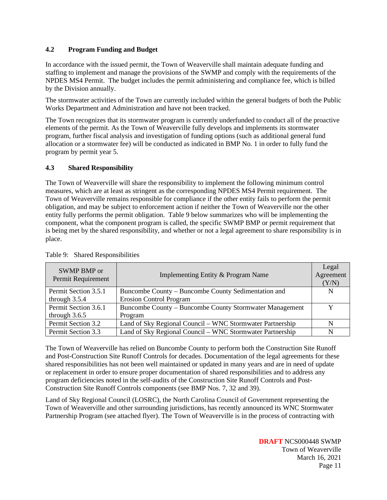# **4.2 Program Funding and Budget**

In accordance with the issued permit, the Town of Weaverville shall maintain adequate funding and staffing to implement and manage the provisions of the SWMP and comply with the requirements of the NPDES MS4 Permit. The budget includes the permit administering and compliance fee, which is billed by the Division annually.

The stormwater activities of the Town are currently included within the general budgets of both the Public Works Department and Administration and have not been tracked.

The Town recognizes that its stormwater program is currently underfunded to conduct all of the proactive elements of the permit. As the Town of Weaverville fully develops and implements its stormwater program, further fiscal analysis and investigation of funding options (such as additional general fund allocation or a stormwater fee) will be conducted as indicated in BMP No. 1 in order to fully fund the program by permit year 5.

#### **4.3 Shared Responsibility**

The Town of Weaverville will share the responsibility to implement the following minimum control measures, which are at least as stringent as the corresponding NPDES MS4 Permit requirement. The Town of Weaverville remains responsible for compliance if the other entity fails to perform the permit obligation, and may be subject to enforcement action if neither the Town of Weaverville nor the other entity fully performs the permit obligation. Table 9 below summarizes who will be implementing the component, what the component program is called, the specific SWMP BMP or permit requirement that is being met by the shared responsibility, and whether or not a legal agreement to share responsibility is in place.

| SWMP BMP or<br>Permit Requirement | Implementing Entity & Program Name                        | Legal<br>Agreement<br>(Y/N) |
|-----------------------------------|-----------------------------------------------------------|-----------------------------|
| Permit Section 3.5.1              | Buncombe County – Buncombe County Sedimentation and       | N                           |
| through $3.5.4$                   | <b>Erosion Control Program</b>                            |                             |
| Permit Section 3.6.1              | Buncombe County – Buncombe County Stormwater Management   |                             |
| through $3.6.5$                   | Program                                                   |                             |
| Permit Section 3.2                | Land of Sky Regional Council – WNC Stormwater Partnership | N                           |
| Permit Section 3.3                | Land of Sky Regional Council - WNC Stormwater Partnership | N                           |

Table 9: Shared Responsibilities

The Town of Weaverville has relied on Buncombe County to perform both the Construction Site Runoff and Post-Construction Site Runoff Controls for decades. Documentation of the legal agreements for these shared responsibilities has not been well maintained or updated in many years and are in need of update or replacement in order to ensure proper documentation of shared responsibilities and to address any program deficiencies noted in the self-audits of the Construction Site Runoff Controls and Post-Construction Site Runoff Controls components (see BMP Nos. 7, 32 and 39).

Land of Sky Regional Council (LOSRC), the North Carolina Council of Government representing the Town of Weaverville and other surrounding jurisdictions, has recently announced its WNC Stormwater Partnership Program (see attached flyer). The Town of Weaverville is in the process of contracting with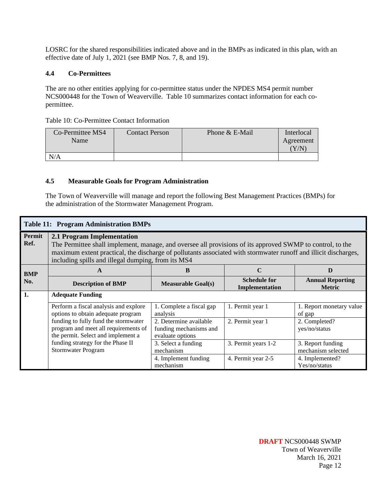LOSRC for the shared responsibilities indicated above and in the BMPs as indicated in this plan, with an effective date of July 1, 2021 (see BMP Nos. 7, 8, and 19).

#### **4.4 Co-Permittees**

The are no other entities applying for co-permittee status under the NPDES MS4 permit number NCS000448 for the Town of Weaverville. Table 10 summarizes contact information for each copermittee.

|  |  | Table 10: Co-Permittee Contact Information |  |  |
|--|--|--------------------------------------------|--|--|
|--|--|--------------------------------------------|--|--|

| Co-Permittee MS4<br>Name | <b>Contact Person</b> | Phone & E-Mail | Interlocal<br>Agreement<br>${\rm Y/N}$ |
|--------------------------|-----------------------|----------------|----------------------------------------|
| N/A                      |                       |                |                                        |

### **4.5 Measurable Goals for Program Administration**

The Town of Weaverville will manage and report the following Best Management Practices (BMPs) for the administration of the Stormwater Management Program.

|                | <b>Table 11: Program Administration BMPs</b>                                                                                                                                                                                                                                                                     |                                                                      |                                       |                                          |  |
|----------------|------------------------------------------------------------------------------------------------------------------------------------------------------------------------------------------------------------------------------------------------------------------------------------------------------------------|----------------------------------------------------------------------|---------------------------------------|------------------------------------------|--|
| Permit<br>Ref. | 2.1 Program Implementation<br>The Permittee shall implement, manage, and oversee all provisions of its approved SWMP to control, to the<br>maximum extent practical, the discharge of pollutants associated with stormwater runoff and illicit discharges,<br>including spills and illegal dumping, from its MS4 |                                                                      |                                       |                                          |  |
| <b>BMP</b>     | A                                                                                                                                                                                                                                                                                                                | B                                                                    | $\mathbf C$                           | D                                        |  |
| No.            | <b>Description of BMP</b>                                                                                                                                                                                                                                                                                        | <b>Measurable Goal(s)</b>                                            | <b>Schedule for</b><br>Implementation | <b>Annual Reporting</b><br><b>Metric</b> |  |
| 1.             | <b>Adequate Funding</b>                                                                                                                                                                                                                                                                                          |                                                                      |                                       |                                          |  |
|                | Perform a fiscal analysis and explore<br>options to obtain adequate program                                                                                                                                                                                                                                      | 1. Complete a fiscal gap<br>analysis                                 | 1. Permit year 1                      | 1. Report monetary value<br>of gap       |  |
|                | funding to fully fund the stormwater<br>program and meet all requirements of<br>the permit. Select and implement a                                                                                                                                                                                               | 2. Determine available<br>funding mechanisms and<br>evaluate options | 2. Permit year 1                      | 2. Completed?<br>yes/no/status           |  |
|                | funding strategy for the Phase II<br>Stormwater Program                                                                                                                                                                                                                                                          | 3. Select a funding<br>mechanism                                     | 3. Permit years 1-2                   | 3. Report funding<br>mechanism selected  |  |
|                |                                                                                                                                                                                                                                                                                                                  | 4. Implement funding<br>mechanism                                    | 4. Permit year 2-5                    | 4. Implemented?<br>Yes/no/status         |  |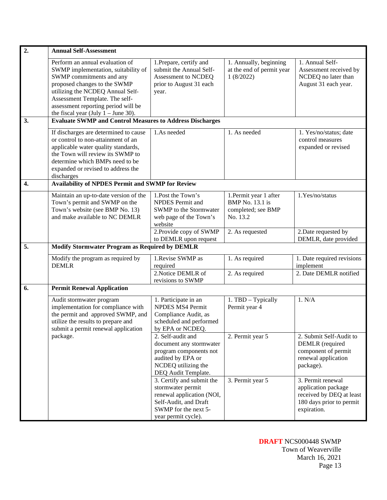| 2.               | <b>Annual Self-Assessment</b>                                                                                                                                                                                                                                                            |                                                                                                                                                     |                                                                                    |                                                                                                                 |
|------------------|------------------------------------------------------------------------------------------------------------------------------------------------------------------------------------------------------------------------------------------------------------------------------------------|-----------------------------------------------------------------------------------------------------------------------------------------------------|------------------------------------------------------------------------------------|-----------------------------------------------------------------------------------------------------------------|
|                  | Perform an annual evaluation of<br>SWMP implementation, suitability of<br>SWMP commitments and any<br>proposed changes to the SWMP<br>utilizing the NCDEQ Annual Self-<br>Assessment Template. The self-<br>assessment reporting period will be<br>the fiscal year (July $1 -$ June 30). | 1. Prepare, certify and<br>submit the Annual Self-<br>Assessment to NCDEQ<br>prior to August 31 each<br>year.                                       | 1. Annually, beginning<br>at the end of permit year<br>1(8/2022)                   | 1. Annual Self-<br>Assessment received by<br>NCDEQ no later than<br>August 31 each year.                        |
| 3.               | <b>Evaluate SWMP and Control Measures to Address Discharges</b>                                                                                                                                                                                                                          |                                                                                                                                                     |                                                                                    |                                                                                                                 |
|                  | If discharges are determined to cause<br>or control to non-attainment of an<br>applicable water quality standards,<br>the Town will review its SWMP to<br>determine which BMPs need to be<br>expanded or revised to address the<br>discharges                                            | 1.As needed                                                                                                                                         | 1. As needed                                                                       | 1. Yes/no/status; date<br>control measures<br>expanded or revised                                               |
| $\overline{4}$ . | <b>Availability of NPDES Permit and SWMP for Review</b>                                                                                                                                                                                                                                  |                                                                                                                                                     |                                                                                    |                                                                                                                 |
|                  | Maintain an up-to-date version of the<br>Town's permit and SWMP on the<br>Town's website (see BMP No. 13)<br>and make available to NC DEMLR                                                                                                                                              | 1. Post the Town's<br><b>NPDES</b> Permit and<br>SWMP to the Stormwater<br>web page of the Town's<br>website                                        | 1. Permit year 1 after<br><b>BMP</b> No. 13.1 is<br>completed; see BMP<br>No. 13.2 | 1.Yes/no/status                                                                                                 |
|                  |                                                                                                                                                                                                                                                                                          | 2. Provide copy of SWMP<br>to DEMLR upon request                                                                                                    | 2. As requested                                                                    | 2. Date requested by<br>DEMLR, date provided                                                                    |
| 5.               | <b>Modify Stormwater Program as Required by DEMLR</b>                                                                                                                                                                                                                                    |                                                                                                                                                     |                                                                                    |                                                                                                                 |
|                  | Modify the program as required by<br><b>DEMLR</b>                                                                                                                                                                                                                                        | 1. Revise SWMP as<br>required<br>2. Notice DEMLR of                                                                                                 | 1. As required<br>2. As required                                                   | 1. Date required revisions<br>implement<br>2. Date DEMLR notified                                               |
|                  |                                                                                                                                                                                                                                                                                          | revisions to SWMP                                                                                                                                   |                                                                                    |                                                                                                                 |
| 6.               | <b>Permit Renewal Application</b>                                                                                                                                                                                                                                                        |                                                                                                                                                     |                                                                                    |                                                                                                                 |
|                  | Audit stormwater program<br>implementation for compliance with<br>the permit and approved SWMP, and<br>utilize the results to prepare and<br>submit a permit renewal application                                                                                                         | 1. Participate in an<br><b>NPDES MS4 Permit</b><br>Compliance Audit, as<br>scheduled and performed<br>by EPA or NCDEQ.                              | 1. TBD - Typically<br>Permit year 4                                                | 1. N/A                                                                                                          |
|                  | package.                                                                                                                                                                                                                                                                                 | 2. Self-audit and<br>document any stormwater<br>program components not<br>audited by EPA or<br>NCDEQ utilizing the<br>DEQ Audit Template.           | 2. Permit year 5                                                                   | 2. Submit Self-Audit to<br><b>DEMLR</b> (required<br>component of permit<br>renewal application<br>package).    |
|                  |                                                                                                                                                                                                                                                                                          | 3. Certify and submit the<br>stormwater permit<br>renewal application (NOI,<br>Self-Audit, and Draft<br>SWMP for the next 5-<br>year permit cycle). | 3. Permit year 5                                                                   | 3. Permit renewal<br>application package<br>received by DEQ at least<br>180 days prior to permit<br>expiration. |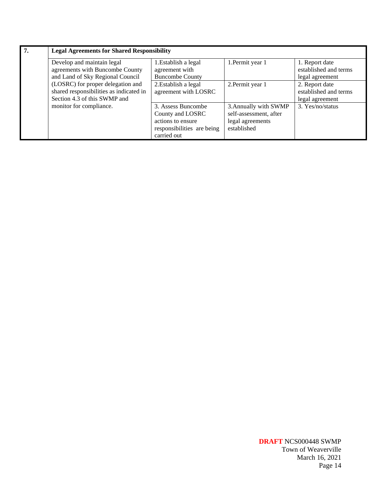| $\overline{7}$ . | <b>Legal Agreements for Shared Responsibility</b> |                            |                        |                       |
|------------------|---------------------------------------------------|----------------------------|------------------------|-----------------------|
|                  | Develop and maintain legal                        | 1. Establish a legal       | 1. Permit year 1       | 1. Report date        |
|                  | agreements with Buncombe County                   | agreement with             |                        | established and terms |
|                  | and Land of Sky Regional Council                  | <b>Buncombe County</b>     |                        | legal agreement       |
|                  | (LOSRC) for proper delegation and                 | 2. Establish a legal       | 2. Permit year 1       | 2. Report date        |
|                  | shared responsibilities as indicated in           | agreement with LOSRC       |                        | established and terms |
|                  | Section 4.3 of this SWMP and                      |                            |                        | legal agreement       |
|                  | monitor for compliance.                           | 3. Assess Buncombe         | 3. Annually with SWMP  | 3. Yes/no/status      |
|                  |                                                   | County and LOSRC           | self-assessment, after |                       |
|                  |                                                   | actions to ensure          | legal agreements       |                       |
|                  |                                                   | responsibilities are being | established            |                       |
|                  |                                                   | carried out                |                        |                       |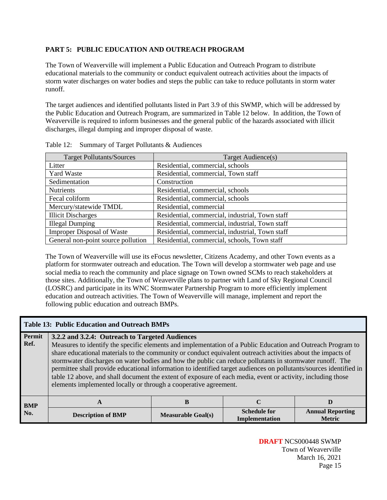# **PART 5: PUBLIC EDUCATION AND OUTREACH PROGRAM**

The Town of Weaverville will implement a Public Education and Outreach Program to distribute educational materials to the community or conduct equivalent outreach activities about the impacts of storm water discharges on water bodies and steps the public can take to reduce pollutants in storm water runoff.

The target audiences and identified pollutants listed in Part 3.9 of this SWMP, which will be addressed by the Public Education and Outreach Program, are summarized in Table 12 below. In addition, the Town of Weaverville is required to inform businesses and the general public of the hazards associated with illicit discharges, illegal dumping and improper disposal of waste.

| <b>Target Pollutants/Sources</b>   | Target Audience(s)                              |
|------------------------------------|-------------------------------------------------|
| Litter                             | Residential, commercial, schools                |
| <b>Yard Waste</b>                  | Residential, commercial, Town staff             |
| Sedimentation                      | Construction                                    |
| <b>Nutrients</b>                   | Residential, commercial, schools                |
| Fecal coliform                     | Residential, commercial, schools                |
| Mercury/statewide TMDL             | Residential, commercial                         |
| <b>Illicit Discharges</b>          | Residential, commercial, industrial, Town staff |
| <b>Illegal Dumping</b>             | Residential, commercial, industrial, Town staff |
| <b>Improper Disposal of Waste</b>  | Residential, commercial, industrial, Town staff |
| General non-point source pollution | Residential, commercial, schools, Town staff    |

Table 12: Summary of Target Pollutants & Audiences

The Town of Weaverville will use its eFocus newsletter, Citizens Academy, and other Town events as a platform for stormwater outreach and education. The Town will develop a stormwater web page and use social media to reach the community and place signage on Town owned SCMs to reach stakeholders at those sites. Additionally, the Town of Weaverville plans to partner with Land of Sky Regional Council (LOSRC) and participate in its WNC Stormwater Partnership Program to more efficiently implement education and outreach activities. The Town of Weaverville will manage, implement and report the following public education and outreach BMPs.

|                | <b>Table 13: Public Education and Outreach BMPs</b>                                                                                                                                                                                                                                                                                                                                                                                                                                                                                                                                                                                                                                                |                           |                                       |                                          |
|----------------|----------------------------------------------------------------------------------------------------------------------------------------------------------------------------------------------------------------------------------------------------------------------------------------------------------------------------------------------------------------------------------------------------------------------------------------------------------------------------------------------------------------------------------------------------------------------------------------------------------------------------------------------------------------------------------------------------|---------------------------|---------------------------------------|------------------------------------------|
| Permit<br>Ref. | 3.2.2 and 3.2.4: Outreach to Targeted Audiences<br>Measures to identify the specific elements and implementation of a Public Education and Outreach Program to<br>share educational materials to the community or conduct equivalent outreach activities about the impacts of<br>stormwater discharges on water bodies and how the public can reduce pollutants in stormwater runoff. The<br>permittee shall provide educational information to identified target audiences on pollutants/sources identified in<br>table 12 above, and shall document the extent of exposure of each media, event or activity, including those<br>elements implemented locally or through a cooperative agreement. |                           |                                       |                                          |
| <b>BMP</b>     | A                                                                                                                                                                                                                                                                                                                                                                                                                                                                                                                                                                                                                                                                                                  | B                         |                                       | D                                        |
| No.            | <b>Description of BMP</b>                                                                                                                                                                                                                                                                                                                                                                                                                                                                                                                                                                                                                                                                          | <b>Measurable Goal(s)</b> | <b>Schedule for</b><br>Implementation | <b>Annual Reporting</b><br><b>Metric</b> |

**DRAFT** NCS000448 SWMP Town of Weaverville March 16, 2021 Page 15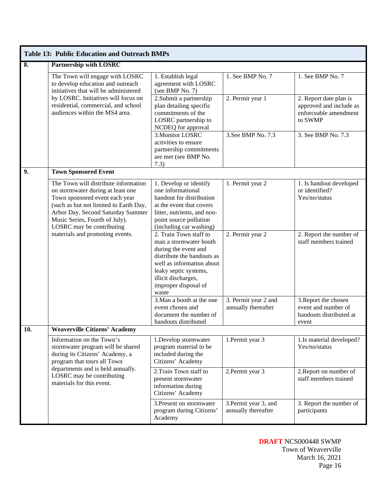|                           | <b>Table 13: Public Education and Outreach BMPs</b>                                                                                                                                                                                                       |                                                                                                                                                                                                                      |                                              |                                                                                       |
|---------------------------|-----------------------------------------------------------------------------------------------------------------------------------------------------------------------------------------------------------------------------------------------------------|----------------------------------------------------------------------------------------------------------------------------------------------------------------------------------------------------------------------|----------------------------------------------|---------------------------------------------------------------------------------------|
| $\overline{\mathbf{8}}$ . | <b>Partnership with LOSRC</b>                                                                                                                                                                                                                             |                                                                                                                                                                                                                      |                                              |                                                                                       |
|                           | The Town will engage with LOSRC<br>to develop education and outreach<br>initiatives that will be administered                                                                                                                                             | 1. Establish legal<br>agreement with LOSRC<br>(see BMP No. 7)                                                                                                                                                        | 1. See BMP No. 7                             | 1. See BMP No. 7                                                                      |
|                           | by LOSRC. Initiatives will focus on<br>residential, commercial, and school<br>audiences within the MS4 area.                                                                                                                                              | 2. Submit a partnership<br>plan detailing specific<br>commitments of the<br>LOSRC partnership to<br>NCDEQ for approval                                                                                               | 2. Permit year 1                             | 2. Report date plan is<br>approved and include as<br>enforceable amendment<br>to SWMP |
|                           |                                                                                                                                                                                                                                                           | 3. Monitor LOSRC<br>activities to ensure<br>partnership commitments<br>are met (see BMP No.<br>7.3)                                                                                                                  | 3. See BMP No. 7.3                           | 3. See BMP No. 7.3                                                                    |
| 9.                        | <b>Town Sponsored Event</b>                                                                                                                                                                                                                               |                                                                                                                                                                                                                      |                                              |                                                                                       |
|                           | The Town will distribute information<br>on stormwater during at least one<br>Town sponsored event each year<br>(such as but not limited to Earth Day,<br>Arbor Day, Second Saturday Summer<br>Music Series, Fourth of July).<br>LOSRC may be contributing | 1. Develop or identify<br>one informational<br>handout for distribution<br>at the event that covers<br>litter, nutrients, and non-<br>point source pollution<br>(including car washing)                              | 1. Permit year 2                             | 1. Is handout developed<br>or identified?<br>Yes/no/status                            |
|                           | materials and promoting events.                                                                                                                                                                                                                           | 2. Train Town staff to<br>man a stormwater booth<br>during the event and<br>distribute the handouts as<br>well as information about<br>leaky septic systems,<br>illicit discharges,<br>improper disposal of<br>waste | 2. Permit year 2                             | 2. Report the number of<br>staff members trained                                      |
|                           |                                                                                                                                                                                                                                                           | 3. Man a booth at the one<br>event chosen and<br>document the number of<br>handouts distributed                                                                                                                      | 3. Permit year 2 and<br>annually thereafter  | 3. Report the chosen<br>event and number of<br>handouts distributed at<br>event       |
| <b>10.</b>                | <b>Weaverville Citizens' Academy</b>                                                                                                                                                                                                                      |                                                                                                                                                                                                                      |                                              |                                                                                       |
|                           | Information on the Town's<br>stormwater program will be shared<br>during its Citizens' Academy, a<br>program that tours all Town                                                                                                                          | 1.Develop stormwater<br>program material to be<br>included during the<br>Citizens' Academy                                                                                                                           | 1. Permit year 3                             | 1.Is material developed?<br>Yes/no/status                                             |
|                           | departments and is held annually.<br>LOSRC may be contributing<br>materials for this event.                                                                                                                                                               | 2. Train Town staff to<br>present stormwater<br>information during<br>Citizens' Academy                                                                                                                              | 2. Permit year 3                             | 2. Report on number of<br>staff members trained                                       |
|                           |                                                                                                                                                                                                                                                           | 3. Present on stormwater<br>program during Citizens'<br>Academy                                                                                                                                                      | 3. Permit year 3, and<br>annually thereafter | 3. Report the number of<br>participants                                               |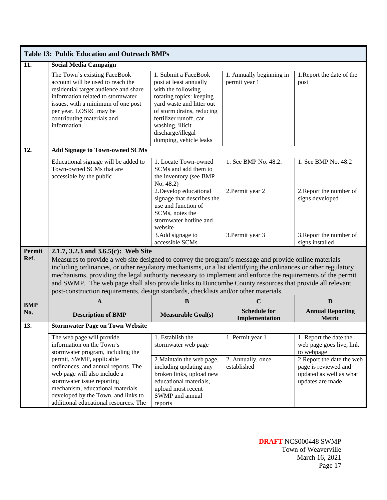| $\overline{11}$ .<br><b>Social Media Campaign</b><br>The Town's existing FaceBook<br>1. Submit a FaceBook<br>account will be used to reach the<br>post at least annually<br>residential target audience and share<br>with the following<br>information related to stormwater<br>rotating topics: keeping<br>yard waste and litter out<br>issues, with a minimum of one post<br>per year. LOSRC may be<br>of storm drains, reducing<br>contributing materials and<br>fertilizer runoff, car<br>information.<br>washing, illicit<br>discharge/illegal<br>dumping, vehicle leaks<br>12.<br><b>Add Signage to Town-owned SCMs</b><br>1. Locate Town-owned<br>Educational signage will be added to | 1. Annually beginning in<br>permit year 1<br>1. See BMP No. 48.2.<br>2. Permit year 2                                                                                                                                                                                                                                                                                                                                                                                                                                                   | 1. Report the date of the<br>post<br>1. See BMP No. 48.2                                                                                                              |  |  |  |
|-----------------------------------------------------------------------------------------------------------------------------------------------------------------------------------------------------------------------------------------------------------------------------------------------------------------------------------------------------------------------------------------------------------------------------------------------------------------------------------------------------------------------------------------------------------------------------------------------------------------------------------------------------------------------------------------------|-----------------------------------------------------------------------------------------------------------------------------------------------------------------------------------------------------------------------------------------------------------------------------------------------------------------------------------------------------------------------------------------------------------------------------------------------------------------------------------------------------------------------------------------|-----------------------------------------------------------------------------------------------------------------------------------------------------------------------|--|--|--|
|                                                                                                                                                                                                                                                                                                                                                                                                                                                                                                                                                                                                                                                                                               |                                                                                                                                                                                                                                                                                                                                                                                                                                                                                                                                         |                                                                                                                                                                       |  |  |  |
|                                                                                                                                                                                                                                                                                                                                                                                                                                                                                                                                                                                                                                                                                               |                                                                                                                                                                                                                                                                                                                                                                                                                                                                                                                                         |                                                                                                                                                                       |  |  |  |
|                                                                                                                                                                                                                                                                                                                                                                                                                                                                                                                                                                                                                                                                                               |                                                                                                                                                                                                                                                                                                                                                                                                                                                                                                                                         |                                                                                                                                                                       |  |  |  |
| Town-owned SCMs that are<br>SCMs and add them to<br>accessible by the public<br>the inventory (see BMP<br>No. 48.2)                                                                                                                                                                                                                                                                                                                                                                                                                                                                                                                                                                           |                                                                                                                                                                                                                                                                                                                                                                                                                                                                                                                                         |                                                                                                                                                                       |  |  |  |
| 2. Develop educational<br>signage that describes the<br>use and function of<br>SCMs, notes the<br>stormwater hotline and<br>website                                                                                                                                                                                                                                                                                                                                                                                                                                                                                                                                                           |                                                                                                                                                                                                                                                                                                                                                                                                                                                                                                                                         | 2. Report the number of<br>signs developed                                                                                                                            |  |  |  |
| 3.Add signage to<br>accessible SCMs                                                                                                                                                                                                                                                                                                                                                                                                                                                                                                                                                                                                                                                           | 3. Permit year 3                                                                                                                                                                                                                                                                                                                                                                                                                                                                                                                        | 3. Report the number of<br>signs installed                                                                                                                            |  |  |  |
| <b>Permit</b><br>2.1.7, 3.2.3 and 3.6.5(c): Web Site<br>Ref.                                                                                                                                                                                                                                                                                                                                                                                                                                                                                                                                                                                                                                  | Measures to provide a web site designed to convey the program's message and provide online materials<br>including ordinances, or other regulatory mechanisms, or a list identifying the ordinances or other regulatory<br>mechanisms, providing the legal authority necessary to implement and enforce the requirements of the permit<br>and SWMP. The web page shall also provide links to Buncombe County resources that provide all relevant<br>post-construction requirements, design standards, checklists and/or other materials. |                                                                                                                                                                       |  |  |  |
| $\, {\bf B}$<br>$\mathbf{A}$<br><b>BMP</b>                                                                                                                                                                                                                                                                                                                                                                                                                                                                                                                                                                                                                                                    | $\mathbf C$                                                                                                                                                                                                                                                                                                                                                                                                                                                                                                                             | D                                                                                                                                                                     |  |  |  |
| No.<br><b>Description of BMP</b><br><b>Measurable Goal(s)</b>                                                                                                                                                                                                                                                                                                                                                                                                                                                                                                                                                                                                                                 | <b>Schedule for</b><br>Implementation                                                                                                                                                                                                                                                                                                                                                                                                                                                                                                   | <b>Annual Reporting</b><br><b>Metric</b>                                                                                                                              |  |  |  |
| <b>Stormwater Page on Town Website</b><br>13.                                                                                                                                                                                                                                                                                                                                                                                                                                                                                                                                                                                                                                                 |                                                                                                                                                                                                                                                                                                                                                                                                                                                                                                                                         |                                                                                                                                                                       |  |  |  |
| The web page will provide<br>1. Establish the<br>information on the Town's<br>stormwater web page<br>stormwater program, including the<br>permit, SWMP, applicable<br>2. Maintain the web page,<br>ordinances, and annual reports. The<br>including updating any<br>web page will also include a<br>broken links, upload new<br>stormwater issue reporting<br>educational materials,<br>mechanism, educational materials<br>upload most recent<br>developed by the Town, and links to<br>SWMP and annual                                                                                                                                                                                      | 1. Permit year 1<br>2. Annually, once<br>established                                                                                                                                                                                                                                                                                                                                                                                                                                                                                    | 1. Report the date the<br>web page goes live, link<br>to webpage<br>2. Report the date the web<br>page is reviewed and<br>updated as well as what<br>updates are made |  |  |  |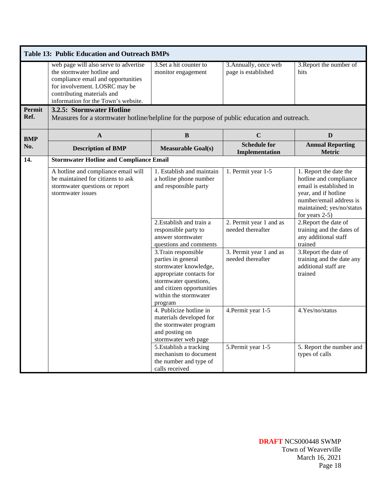|                       | <b>Table 13: Public Education and Outreach BMPs</b>                                                                                                                                                             |                                                                                                                                                                                           |                                              |                                                                                                                                                                                  |  |
|-----------------------|-----------------------------------------------------------------------------------------------------------------------------------------------------------------------------------------------------------------|-------------------------------------------------------------------------------------------------------------------------------------------------------------------------------------------|----------------------------------------------|----------------------------------------------------------------------------------------------------------------------------------------------------------------------------------|--|
|                       | web page will also serve to advertise<br>the stormwater hotline and<br>compliance email and opportunities<br>for involvement. LOSRC may be<br>contributing materials and<br>information for the Town's website. | 3. Set a hit counter to<br>monitor engagement                                                                                                                                             | 3. Annually, once web<br>page is established | 3. Report the number of<br>hits                                                                                                                                                  |  |
| <b>Permit</b><br>Ref. | 3.2.5: Stormwater Hotline<br>Measures for a stormwater hotline/helpline for the purpose of public education and outreach.                                                                                       |                                                                                                                                                                                           |                                              |                                                                                                                                                                                  |  |
| <b>BMP</b>            | $\mathbf{A}$                                                                                                                                                                                                    | $\bf{B}$                                                                                                                                                                                  | $\mathbf C$                                  | D                                                                                                                                                                                |  |
| No.                   | <b>Description of BMP</b>                                                                                                                                                                                       | <b>Measurable Goal(s)</b>                                                                                                                                                                 | <b>Schedule for</b><br>Implementation        | <b>Annual Reporting</b><br><b>Metric</b>                                                                                                                                         |  |
| 14.                   | <b>Stormwater Hotline and Compliance Email</b>                                                                                                                                                                  |                                                                                                                                                                                           |                                              |                                                                                                                                                                                  |  |
|                       | A hotline and compliance email will<br>be maintained for citizens to ask<br>stormwater questions or report<br>stormwater issues                                                                                 | 1. Establish and maintain<br>a hotline phone number<br>and responsible party                                                                                                              | 1. Permit year 1-5                           | 1. Report the date the<br>hotline and compliance<br>email is established in<br>year, and if hotline<br>number/email address is<br>maintained; yes/no/status<br>for years $2-5$ ) |  |
|                       |                                                                                                                                                                                                                 | 2. Establish and train a<br>responsible party to<br>answer stormwater<br>questions and comments                                                                                           | 2. Permit year 1 and as<br>needed thereafter | 2. Report the date of<br>training and the dates of<br>any additional staff<br>trained                                                                                            |  |
|                       |                                                                                                                                                                                                                 | 3. Train responsible<br>parties in general<br>stormwater knowledge,<br>appropriate contacts for<br>stormwater questions,<br>and citizen opportunities<br>within the stormwater<br>program | 3. Permit year 1 and as<br>needed thereafter | 3. Report the date of<br>training and the date any<br>additional staff are<br>trained                                                                                            |  |
|                       |                                                                                                                                                                                                                 | 4. Publicize hotline in<br>materials developed for<br>the stormwater program<br>and posting on<br>stormwater web page                                                                     | 4. Permit year 1-5                           | 4.Yes/no/status                                                                                                                                                                  |  |
|                       |                                                                                                                                                                                                                 | 5. Establish a tracking<br>mechanism to document<br>the number and type of<br>calls received                                                                                              | 5. Permit year 1-5                           | 5. Report the number and<br>types of calls                                                                                                                                       |  |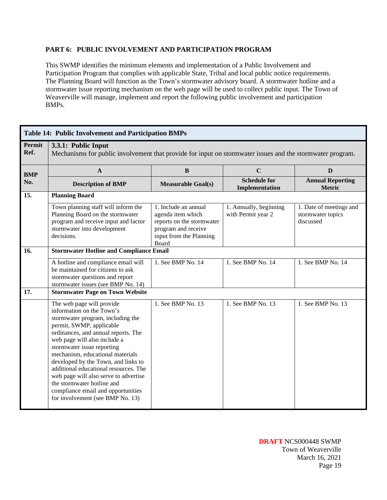# **PART 6: PUBLIC INVOLVEMENT AND PARTICIPATION PROGRAM**

This SWMP identifies the minimum elements and implementation of a Public Involvement and Participation Program that complies with applicable State, Tribal and local public notice requirements. The Planning Board will function as the Town's stormwater advisory board. A stormwater hotline and a stormwater issue reporting mechanism on the web page will be used to collect public input. The Town of Weaverville will manage, implement and report the following public involvement and participation BMPs.

|                | <b>Table 14: Public Involvement and Participation BMPs</b>                                                                                                                                                                                                                                                                                                                                                                                                                                        |                                                                                                                                   |                                              |                                                           |  |
|----------------|---------------------------------------------------------------------------------------------------------------------------------------------------------------------------------------------------------------------------------------------------------------------------------------------------------------------------------------------------------------------------------------------------------------------------------------------------------------------------------------------------|-----------------------------------------------------------------------------------------------------------------------------------|----------------------------------------------|-----------------------------------------------------------|--|
| Permit<br>Ref. | 3.3.1: Public Input<br>Mechanisms for public involvement that provide for input on stormwater issues and the stormwater program.                                                                                                                                                                                                                                                                                                                                                                  |                                                                                                                                   |                                              |                                                           |  |
| <b>BMP</b>     | $\mathbf{A}$                                                                                                                                                                                                                                                                                                                                                                                                                                                                                      | B                                                                                                                                 | $\mathbf C$                                  | D                                                         |  |
| No.            | <b>Description of BMP</b>                                                                                                                                                                                                                                                                                                                                                                                                                                                                         | <b>Measurable Goal(s)</b>                                                                                                         | <b>Schedule for</b><br>Implementation        | <b>Annual Reporting</b><br><b>Metric</b>                  |  |
| 15.            | <b>Planning Board</b>                                                                                                                                                                                                                                                                                                                                                                                                                                                                             |                                                                                                                                   |                                              |                                                           |  |
|                | Town planning staff will inform the<br>Planning Board on the stormwater<br>program and receive input and factor<br>stormwater into development<br>decisions.                                                                                                                                                                                                                                                                                                                                      | 1. Include an annual<br>agenda item which<br>reports on the stormwater<br>program and receive<br>input from the Planning<br>Board | 1. Annually, beginning<br>with Permit year 2 | 1. Date of meetings and<br>stormwater topics<br>discussed |  |
| 16.            | <b>Stormwater Hotline and Compliance Email</b>                                                                                                                                                                                                                                                                                                                                                                                                                                                    |                                                                                                                                   |                                              |                                                           |  |
|                | A hotline and compliance email will<br>be maintained for citizens to ask<br>stormwater questions and report<br>stormwater issues (see BMP No. 14)                                                                                                                                                                                                                                                                                                                                                 | 1. See BMP No. 14                                                                                                                 | 1. See BMP No. 14                            | 1. See BMP No. 14                                         |  |
| 17.            | <b>Stormwater Page on Town Website</b>                                                                                                                                                                                                                                                                                                                                                                                                                                                            |                                                                                                                                   |                                              |                                                           |  |
|                | The web page will provide<br>information on the Town's<br>stormwater program, including the<br>permit, SWMP, applicable<br>ordinances, and annual reports. The<br>web page will also include a<br>stormwater issue reporting<br>mechanism, educational materials<br>developed by the Town, and links to<br>additional educational resources. The<br>web page will also serve to advertise<br>the stormwater hotline and<br>compliance email and opportunities<br>for involvement (see BMP No. 13) | 1. See BMP No. 13                                                                                                                 | 1. See BMP No. 13                            | 1. See BMP No. 13                                         |  |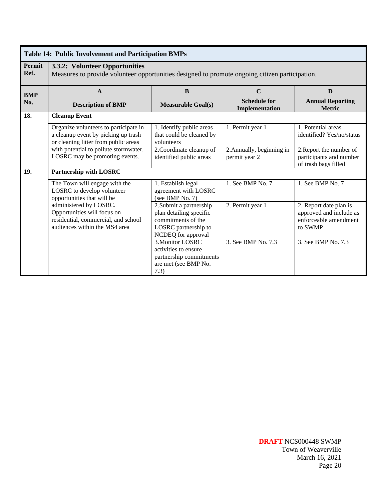|                | <b>Table 14: Public Involvement and Participation BMPs</b>                                                                       |                                                                                                                        |                                            |                                                                                       |  |
|----------------|----------------------------------------------------------------------------------------------------------------------------------|------------------------------------------------------------------------------------------------------------------------|--------------------------------------------|---------------------------------------------------------------------------------------|--|
| Permit<br>Ref. | 3.3.2: Volunteer Opportunities<br>Measures to provide volunteer opportunities designed to promote ongoing citizen participation. |                                                                                                                        |                                            |                                                                                       |  |
| <b>BMP</b>     | $\mathbf{A}$                                                                                                                     | B                                                                                                                      | $\mathbf C$                                | D                                                                                     |  |
| No.            | <b>Description of BMP</b>                                                                                                        | <b>Measurable Goal(s)</b>                                                                                              | <b>Schedule for</b><br>Implementation      | <b>Annual Reporting</b><br><b>Metric</b>                                              |  |
| 18.            | <b>Cleanup Event</b>                                                                                                             |                                                                                                                        |                                            |                                                                                       |  |
|                | Organize volunteers to participate in<br>a cleanup event by picking up trash<br>or cleaning litter from public areas             | 1. Identify public areas<br>that could be cleaned by<br>volunteers                                                     | 1. Permit year 1                           | 1. Potential areas<br>identified? Yes/no/status                                       |  |
|                | with potential to pollute stormwater.<br>LOSRC may be promoting events.                                                          | 2. Coordinate cleanup of<br>identified public areas                                                                    | 2. Annually, beginning in<br>permit year 2 | 2. Report the number of<br>participants and number<br>of trash bags filled            |  |
| 19.            | Partnership with LOSRC                                                                                                           |                                                                                                                        |                                            |                                                                                       |  |
|                | The Town will engage with the<br>LOSRC to develop volunteer<br>opportunities that will be                                        | 1. Establish legal<br>agreement with LOSRC<br>(see BMP No. $7$ )                                                       | 1. See BMP No. 7                           | 1. See BMP No. 7                                                                      |  |
|                | administered by LOSRC.<br>Opportunities will focus on<br>residential, commercial, and school<br>audiences within the MS4 area    | 2. Submit a partnership<br>plan detailing specific<br>commitments of the<br>LOSRC partnership to<br>NCDEQ for approval | 2. Permit year 1                           | 2. Report date plan is<br>approved and include as<br>enforceable amendment<br>to SWMP |  |
|                |                                                                                                                                  | 3. Monitor LOSRC<br>activities to ensure<br>partnership commitments<br>are met (see BMP No.<br>7.3)                    | 3. See BMP No. 7.3                         | 3. See BMP No. 7.3                                                                    |  |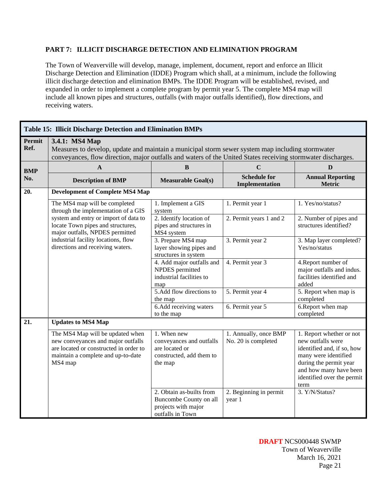#### **PART 7: ILLICIT DISCHARGE DETECTION AND ELIMINATION PROGRAM**

The Town of Weaverville will develop, manage, implement, document, report and enforce an Illicit Discharge Detection and Elimination (IDDE) Program which shall, at a minimum, include the following illicit discharge detection and elimination BMPs. The IDDE Program will be established, revised, and expanded in order to implement a complete program by permit year 5. The complete MS4 map will include all known pipes and structures, outfalls (with major outfalls identified), flow directions, and receiving waters.

|                | Table 15: Illicit Discharge Detection and Elimination BMPs                                                                                                                                                                         |                                                                                                  |                                              |                                                                                                                                                                                               |  |
|----------------|------------------------------------------------------------------------------------------------------------------------------------------------------------------------------------------------------------------------------------|--------------------------------------------------------------------------------------------------|----------------------------------------------|-----------------------------------------------------------------------------------------------------------------------------------------------------------------------------------------------|--|
| Permit<br>Ref. | 3.4.1: MS4 Map<br>Measures to develop, update and maintain a municipal storm sewer system map including stormwater<br>conveyances, flow direction, major outfalls and waters of the United States receiving stormwater discharges. |                                                                                                  |                                              |                                                                                                                                                                                               |  |
| <b>BMP</b>     | $\mathbf{A}$                                                                                                                                                                                                                       | B                                                                                                | $\mathbf C$                                  | D                                                                                                                                                                                             |  |
| No.            | <b>Description of BMP</b>                                                                                                                                                                                                          | <b>Measurable Goal(s)</b>                                                                        | <b>Schedule for</b><br>Implementation        | <b>Annual Reporting</b><br><b>Metric</b>                                                                                                                                                      |  |
| 20.            | <b>Development of Complete MS4 Map</b>                                                                                                                                                                                             |                                                                                                  |                                              |                                                                                                                                                                                               |  |
|                | The MS4 map will be completed<br>through the implementation of a GIS                                                                                                                                                               | 1. Implement a GIS<br>system                                                                     | 1. Permit year 1                             | 1. Yes/no/status?                                                                                                                                                                             |  |
|                | system and entry or import of data to<br>locate Town pipes and structures,<br>major outfalls, NPDES permitted                                                                                                                      | 2. Identify location of<br>pipes and structures in<br>MS4 system                                 | 2. Permit years 1 and 2                      | 2. Number of pipes and<br>structures identified?                                                                                                                                              |  |
|                | industrial facility locations, flow<br>directions and receiving waters.                                                                                                                                                            | 3. Prepare MS4 map<br>layer showing pipes and<br>structures in system                            | 3. Permit year 2                             | 3. Map layer completed?<br>Yes/no/status                                                                                                                                                      |  |
|                |                                                                                                                                                                                                                                    | 4. Add major outfalls and<br>NPDES permitted<br>industrial facilities to<br>map                  | 4. Permit year 3                             | 4. Report number of<br>major outfalls and indus.<br>facilities identified and<br>added                                                                                                        |  |
|                |                                                                                                                                                                                                                                    | 5.Add flow directions to<br>the map                                                              | 5. Permit year 4                             | 5. Report when map is<br>completed                                                                                                                                                            |  |
|                |                                                                                                                                                                                                                                    | 6. Add receiving waters<br>to the map                                                            | 6. Permit year 5                             | 6. Report when map<br>completed                                                                                                                                                               |  |
| 21.            | <b>Updates to MS4 Map</b>                                                                                                                                                                                                          |                                                                                                  |                                              |                                                                                                                                                                                               |  |
|                | The MS4 Map will be updated when<br>new conveyances and major outfalls<br>are located or constructed in order to<br>maintain a complete and up-to-date<br>MS4 map                                                                  | 1. When new<br>conveyances and outfalls<br>are located or<br>constructed, add them to<br>the map | 1. Annually, once BMP<br>No. 20 is completed | 1. Report whether or not<br>new outfalls were<br>identified and, if so, how<br>many were identified<br>during the permit year<br>and how many have been<br>identified over the permit<br>term |  |
|                |                                                                                                                                                                                                                                    | 2. Obtain as-builts from<br>Buncombe County on all<br>projects with major<br>outfalls in Town    | 2. Beginning in permit<br>year 1             | 3. Y/N/Status?                                                                                                                                                                                |  |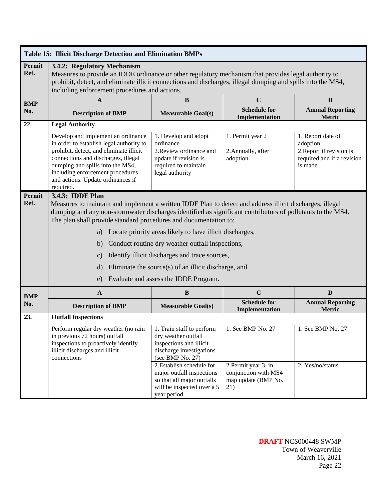|                       | Table 15: Illicit Discharge Detection and Elimination BMPs                                                                                                                                                                                                                                                                                                    |                                                                                                                                                                                                                                                                  |                                                                                                 |                                                                                                    |
|-----------------------|---------------------------------------------------------------------------------------------------------------------------------------------------------------------------------------------------------------------------------------------------------------------------------------------------------------------------------------------------------------|------------------------------------------------------------------------------------------------------------------------------------------------------------------------------------------------------------------------------------------------------------------|-------------------------------------------------------------------------------------------------|----------------------------------------------------------------------------------------------------|
| <b>Permit</b><br>Ref. | 3.4.2: Regulatory Mechanism<br>Measures to provide an IDDE ordinance or other regulatory mechanism that provides legal authority to<br>prohibit, detect, and eliminate illicit connections and discharges, illegal dumping and spills into the MS4,<br>including enforcement procedures and actions.                                                          |                                                                                                                                                                                                                                                                  |                                                                                                 |                                                                                                    |
| <b>BMP</b>            | $\mathbf{A}$                                                                                                                                                                                                                                                                                                                                                  | $\bf{B}$                                                                                                                                                                                                                                                         | $\mathbf C$                                                                                     | D                                                                                                  |
| No.                   | <b>Description of BMP</b>                                                                                                                                                                                                                                                                                                                                     | <b>Measurable Goal(s)</b>                                                                                                                                                                                                                                        | <b>Schedule for</b><br>Implementation                                                           | <b>Annual Reporting</b><br><b>Metric</b>                                                           |
| 22.                   | <b>Legal Authority</b>                                                                                                                                                                                                                                                                                                                                        |                                                                                                                                                                                                                                                                  |                                                                                                 |                                                                                                    |
|                       | Develop and implement an ordinance<br>in order to establish legal authority to<br>prohibit, detect, and eliminate illicit<br>connections and discharges, illegal<br>dumping and spills into the MS4,<br>including enforcement procedures<br>and actions. Update ordinances if<br>required.                                                                    | 1. Develop and adopt<br>ordinance<br>2. Review ordinance and<br>update if revision is<br>required to maintain<br>legal authority                                                                                                                                 | 1. Permit year 2<br>2. Annually, after<br>adoption                                              | 1. Report date of<br>adoption<br>2. Report if revision is<br>required and if a revision<br>is made |
| <b>Permit</b><br>Ref. | 3.4.3: IDDE Plan<br>Measures to maintain and implement a written IDDE Plan to detect and address illicit discharges, illegal<br>dumping and any non-stormwater discharges identified as significant contributors of pollutants to the MS4.<br>The plan shall provide standard procedures and documentation to:<br>a)<br>b)<br>$\mathbf{c})$<br>$\rm d)$<br>e) | Locate priority areas likely to have illicit discharges,<br>Conduct routine dry weather outfall inspections,<br>Identify illicit discharges and trace sources,<br>Eliminate the source(s) of an illicit discharge, and<br>Evaluate and assess the IDDE Program.  |                                                                                                 |                                                                                                    |
| <b>BMP</b>            | $\mathbf{A}$                                                                                                                                                                                                                                                                                                                                                  | B                                                                                                                                                                                                                                                                | $\mathbf C$                                                                                     | D                                                                                                  |
| No.                   | <b>Description of BMP</b>                                                                                                                                                                                                                                                                                                                                     | <b>Measurable Goal(s)</b>                                                                                                                                                                                                                                        | <b>Schedule for</b><br>Implementation                                                           | <b>Annual Reporting</b><br><b>Metric</b>                                                           |
| 23.                   | <b>Outfall Inspections</b>                                                                                                                                                                                                                                                                                                                                    |                                                                                                                                                                                                                                                                  |                                                                                                 |                                                                                                    |
|                       | Perform regular dry weather (no rain<br>in previous 72 hours) outfall<br>inspections to proactively identify<br>illicit discharges and illicit<br>connections                                                                                                                                                                                                 | 1. Train staff to perform<br>dry weather outfall<br>inspections and illicit<br>discharge investigations<br>(see BMP No. 27)<br>2. Establish schedule for<br>major outfall inspections<br>so that all major outfalls<br>will be inspected over a 5<br>year period | 1. See BMP No. 27<br>2. Permit year 3, in<br>conjunction with MS4<br>map update (BMP No.<br>21) | 1. See BMP No. 27<br>2. Yes/no/status                                                              |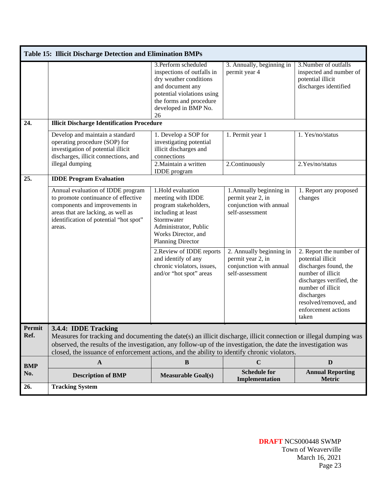|            | <b>Table 15: Illicit Discharge Detection and Elimination BMPs</b>                                                                                                                                                                                                                                                                  |                                                                                                                                                                                         |                                                                                             |                                                                                                                                                                                                                    |
|------------|------------------------------------------------------------------------------------------------------------------------------------------------------------------------------------------------------------------------------------------------------------------------------------------------------------------------------------|-----------------------------------------------------------------------------------------------------------------------------------------------------------------------------------------|---------------------------------------------------------------------------------------------|--------------------------------------------------------------------------------------------------------------------------------------------------------------------------------------------------------------------|
|            |                                                                                                                                                                                                                                                                                                                                    | 3. Perform scheduled<br>inspections of outfalls in<br>dry weather conditions<br>and document any<br>potential violations using<br>the forms and procedure<br>developed in BMP No.<br>26 | 3. Annually, beginning in<br>permit year 4                                                  | 3. Number of outfalls<br>inspected and number of<br>potential illicit<br>discharges identified                                                                                                                     |
| 24.        | <b>Illicit Discharge Identification Procedure</b>                                                                                                                                                                                                                                                                                  |                                                                                                                                                                                         |                                                                                             |                                                                                                                                                                                                                    |
|            | Develop and maintain a standard<br>operating procedure (SOP) for<br>investigation of potential illicit<br>discharges, illicit connections, and<br>illegal dumping                                                                                                                                                                  | 1. Develop a SOP for<br>investigating potential<br>illicit discharges and<br>connections<br>2. Maintain a written                                                                       | 1. Permit year 1<br>2.Continuously                                                          | 1. Yes/no/status<br>2.Yes/no/status                                                                                                                                                                                |
|            |                                                                                                                                                                                                                                                                                                                                    | <b>IDDE</b> program                                                                                                                                                                     |                                                                                             |                                                                                                                                                                                                                    |
| 25.        | <b>IDDE Program Evaluation</b>                                                                                                                                                                                                                                                                                                     |                                                                                                                                                                                         |                                                                                             |                                                                                                                                                                                                                    |
|            | Annual evaluation of IDDE program<br>to promote continuance of effective<br>components and improvements in<br>areas that are lacking, as well as<br>identification of potential "hot spot"<br>areas.                                                                                                                               | 1.Hold evaluation<br>meeting with IDDE<br>program stakeholders,<br>including at least<br>Stormwater<br>Administrator, Public<br>Works Director, and<br>Planning Director                | 1. Annually beginning in<br>permit year 2, in<br>conjunction with annual<br>self-assessment | 1. Report any proposed<br>changes                                                                                                                                                                                  |
|            |                                                                                                                                                                                                                                                                                                                                    | 2. Review of IDDE reports<br>and identify of any<br>chronic violators, issues,<br>and/or "hot spot" areas                                                                               | 2. Annually beginning in<br>permit year 2, in<br>conjunction with annual<br>self-assessment | 2. Report the number of<br>potential illicit<br>discharges found, the<br>number of illicit<br>discharges verified, the<br>number of illicit<br>discharges<br>resolved/removed, and<br>enforcement actions<br>taken |
|            | Permit 3.4.4: IDDE Tracking                                                                                                                                                                                                                                                                                                        |                                                                                                                                                                                         |                                                                                             |                                                                                                                                                                                                                    |
| Ref.       | Measures for tracking and documenting the date(s) an illicit discharge, illicit connection or illegal dumping was<br>observed, the results of the investigation, any follow-up of the investigation, the date the investigation was<br>closed, the issuance of enforcement actions, and the ability to identify chronic violators. |                                                                                                                                                                                         |                                                                                             |                                                                                                                                                                                                                    |
| <b>BMP</b> | $\mathbf A$                                                                                                                                                                                                                                                                                                                        | $\bf{B}$                                                                                                                                                                                | $\mathbf C$                                                                                 | D                                                                                                                                                                                                                  |
| No.        | <b>Description of BMP</b>                                                                                                                                                                                                                                                                                                          | <b>Measurable Goal(s)</b>                                                                                                                                                               | <b>Schedule for</b><br>Implementation                                                       | <b>Annual Reporting</b><br>Metric                                                                                                                                                                                  |
| 26.        | <b>Tracking System</b>                                                                                                                                                                                                                                                                                                             |                                                                                                                                                                                         |                                                                                             |                                                                                                                                                                                                                    |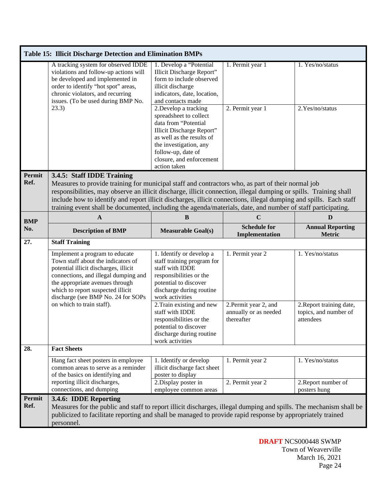|                | <b>Table 15: Illicit Discharge Detection and Elimination BMPs</b>                                                                                                                                                                                                                                                                                                                                                                                                                          |                                                                                                                                                                                                                               |                                                              |                                                                |  |
|----------------|--------------------------------------------------------------------------------------------------------------------------------------------------------------------------------------------------------------------------------------------------------------------------------------------------------------------------------------------------------------------------------------------------------------------------------------------------------------------------------------------|-------------------------------------------------------------------------------------------------------------------------------------------------------------------------------------------------------------------------------|--------------------------------------------------------------|----------------------------------------------------------------|--|
|                | A tracking system for observed IDDE<br>violations and follow-up actions will<br>be developed and implemented in<br>order to identify "hot spot" areas,<br>chronic violators, and recurring<br>issues. (To be used during BMP No.                                                                                                                                                                                                                                                           | 1. Develop a "Potential<br>Illicit Discharge Report"<br>form to include observed<br>illicit discharge<br>indicators, date, location,<br>and contacts made                                                                     | 1. Permit year 1                                             | 1. Yes/no/status                                               |  |
|                | 23.3)                                                                                                                                                                                                                                                                                                                                                                                                                                                                                      | 2. Develop a tracking<br>spreadsheet to collect<br>data from "Potential<br>Illicit Discharge Report"<br>as well as the results of<br>the investigation, any<br>follow-up, date of<br>closure, and enforcement<br>action taken | 2. Permit year 1                                             | 2.Yes/no/status                                                |  |
| Permit<br>Ref. | 3.4.5: Staff IDDE Training<br>Measures to provide training for municipal staff and contractors who, as part of their normal job<br>responsibilities, may observe an illicit discharge, illicit connection, illegal dumping or spills. Training shall<br>include how to identify and report illicit discharges, illicit connections, illegal dumping and spills. Each staff<br>training event shall be documented, including the agenda/materials, date, and number of staff participating. |                                                                                                                                                                                                                               |                                                              |                                                                |  |
| <b>BMP</b>     | A                                                                                                                                                                                                                                                                                                                                                                                                                                                                                          | B                                                                                                                                                                                                                             | C                                                            | D                                                              |  |
| No.            | <b>Description of BMP</b>                                                                                                                                                                                                                                                                                                                                                                                                                                                                  | <b>Measurable Goal(s)</b>                                                                                                                                                                                                     | <b>Schedule for</b><br>Implementation                        | <b>Annual Reporting</b><br><b>Metric</b>                       |  |
| 27.            | <b>Staff Training</b>                                                                                                                                                                                                                                                                                                                                                                                                                                                                      |                                                                                                                                                                                                                               |                                                              |                                                                |  |
|                | Implement a program to educate<br>Town staff about the indicators of<br>potential illicit discharges, illicit<br>connections, and illegal dumping and<br>the appropriate avenues through<br>which to report suspected illicit<br>discharge (see BMP No. 24 for SOPs                                                                                                                                                                                                                        | 1. Identify or develop a<br>staff training program for<br>staff with IDDE<br>responsibilities or the<br>potential to discover<br>discharge during routine<br>work activities                                                  | 1. Permit year 2                                             | 1. Yes/no/status                                               |  |
|                | on which to train staff).                                                                                                                                                                                                                                                                                                                                                                                                                                                                  | 2. Train existing and new<br>staff with IDDE<br>responsibilities or the<br>potential to discover<br>discharge during routine<br>work activities                                                                               | 2. Permit year 2, and<br>annually or as needed<br>thereafter | 2. Report training date,<br>topics, and number of<br>attendees |  |
| 28.            | <b>Fact Sheets</b>                                                                                                                                                                                                                                                                                                                                                                                                                                                                         |                                                                                                                                                                                                                               |                                                              |                                                                |  |
|                | Hang fact sheet posters in employee<br>common areas to serve as a reminder<br>of the basics on identifying and<br>reporting illicit discharges,                                                                                                                                                                                                                                                                                                                                            | 1. Identify or develop<br>illicit discharge fact sheet<br>poster to display<br>2. Display poster in                                                                                                                           | 1. Permit year 2<br>2. Permit year 2                         | 1. Yes/no/status<br>2. Report number of                        |  |
|                | connections, and dumping                                                                                                                                                                                                                                                                                                                                                                                                                                                                   | employee common areas                                                                                                                                                                                                         |                                                              | posters hung                                                   |  |
| Permit<br>Ref. | 3.4.6: IDDE Reporting<br>Measures for the public and staff to report illicit discharges, illegal dumping and spills. The mechanism shall be<br>publicized to facilitate reporting and shall be managed to provide rapid response by appropriately trained<br>personnel.                                                                                                                                                                                                                    |                                                                                                                                                                                                                               |                                                              |                                                                |  |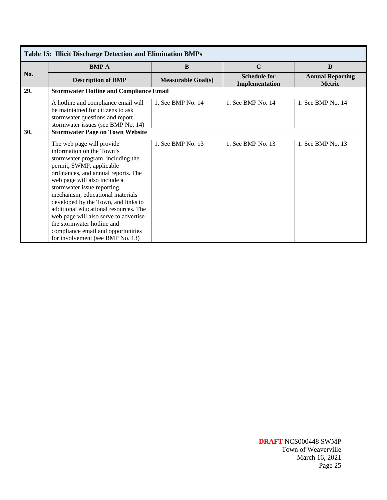| <b>Table 15: Illicit Discharge Detection and Elimination BMPs</b> |                                                                                                                                                                                                                                                                                                                                                                                                                                                                                                   |                           |                                       |                                          |
|-------------------------------------------------------------------|---------------------------------------------------------------------------------------------------------------------------------------------------------------------------------------------------------------------------------------------------------------------------------------------------------------------------------------------------------------------------------------------------------------------------------------------------------------------------------------------------|---------------------------|---------------------------------------|------------------------------------------|
| No.                                                               | <b>BMPA</b>                                                                                                                                                                                                                                                                                                                                                                                                                                                                                       | B                         | $\mathbf C$                           | D                                        |
|                                                                   | <b>Description of BMP</b>                                                                                                                                                                                                                                                                                                                                                                                                                                                                         | <b>Measurable Goal(s)</b> | <b>Schedule for</b><br>Implementation | <b>Annual Reporting</b><br><b>Metric</b> |
| 29.                                                               | <b>Stormwater Hotline and Compliance Email</b>                                                                                                                                                                                                                                                                                                                                                                                                                                                    |                           |                                       |                                          |
|                                                                   | A hotline and compliance email will<br>be maintained for citizens to ask<br>stormwater questions and report<br>stormwater issues (see BMP No. 14)                                                                                                                                                                                                                                                                                                                                                 | 1. See BMP No. 14         | 1. See BMP No. 14                     | 1. See BMP No. 14                        |
| 30.                                                               | <b>Stormwater Page on Town Website</b>                                                                                                                                                                                                                                                                                                                                                                                                                                                            |                           |                                       |                                          |
|                                                                   | The web page will provide<br>information on the Town's<br>stormwater program, including the<br>permit, SWMP, applicable<br>ordinances, and annual reports. The<br>web page will also include a<br>stormwater issue reporting<br>mechanism, educational materials<br>developed by the Town, and links to<br>additional educational resources. The<br>web page will also serve to advertise<br>the stormwater hotline and<br>compliance email and opportunities<br>for involvement (see BMP No. 13) | 1. See BMP No. 13         | 1. See BMP No. 13                     | 1. See BMP No. 13                        |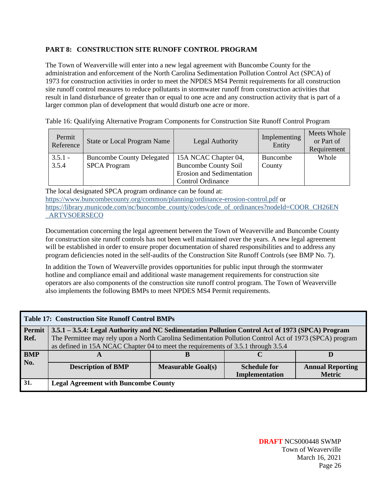# **PART 8: CONSTRUCTION SITE RUNOFF CONTROL PROGRAM**

The Town of Weaverville will enter into a new legal agreement with Buncombe County for the administration and enforcement of the North Carolina Sedimentation Pollution Control Act (SPCA) of 1973 for construction activities in order to meet the NPDES MS4 Permit requirements for all construction site runoff control measures to reduce pollutants in stormwater runoff from construction activities that result in land disturbance of greater than or equal to one acre and any construction activity that is part of a larger common plan of development that would disturb one acre or more.

Table 16: Qualifying Alternative Program Components for Construction Site Runoff Control Program

| Permit<br>Reference | <b>State or Local Program Name</b> | Legal Authority                  | Implementing<br>Entity | Meets Whole<br>or Part of<br>Requirement |
|---------------------|------------------------------------|----------------------------------|------------------------|------------------------------------------|
| $3.5.1 -$           | <b>Buncombe County Delegated</b>   | 15A NCAC Chapter 04,             | Buncombe               | Whole                                    |
| 3.5.4               | <b>SPCA Program</b>                | <b>Buncombe County Soil</b>      | County                 |                                          |
|                     |                                    | <b>Erosion and Sedimentation</b> |                        |                                          |
|                     |                                    | <b>Control Ordinance</b>         |                        |                                          |

The local designated SPCA program ordinance can be found at: <https://www.buncombecounty.org/common/planning/ordinance-erosion-control.pdf> or [https://library.municode.com/nc/buncombe\\_county/codes/code\\_of\\_ordinances?nodeId=COOR\\_CH26EN](https://library.municode.com/nc/buncombe_county/codes/code_of_ordinances?nodeId=COOR_CH26EN_ARTVSOERSECO) [\\_ARTVSOERSECO](https://library.municode.com/nc/buncombe_county/codes/code_of_ordinances?nodeId=COOR_CH26EN_ARTVSOERSECO)

Documentation concerning the legal agreement between the Town of Weaverville and Buncombe County for construction site runoff controls has not been well maintained over the years. A new legal agreement will be established in order to ensure proper documentation of shared responsibilities and to address any program deficiencies noted in the self-audits of the Construction Site Runoff Controls (see BMP No. 7).

In addition the Town of Weaverville provides opportunities for public input through the stormwater hotline and compliance email and additional waste management requirements for construction site operators are also components of the construction site runoff control program. The Town of Weaverville also implements the following BMPs to meet NPDES MS4 Permit requirements.

| <b>Table 17: Construction Site Runoff Control BMPs</b> |                                                                                                         |                           |                     |                         |
|--------------------------------------------------------|---------------------------------------------------------------------------------------------------------|---------------------------|---------------------|-------------------------|
| Permit                                                 | 3.5.1 – 3.5.4: Legal Authority and NC Sedimentation Pollution Control Act of 1973 (SPCA) Program        |                           |                     |                         |
| Ref.                                                   | The Permittee may rely upon a North Carolina Sedimentation Pollution Control Act of 1973 (SPCA) program |                           |                     |                         |
|                                                        | as defined in 15A NCAC Chapter 04 to meet the requirements of 3.5.1 through 3.5.4                       |                           |                     |                         |
| <b>BMP</b>                                             |                                                                                                         |                           |                     |                         |
| No.                                                    | <b>Description of BMP</b>                                                                               | <b>Measurable Goal(s)</b> | <b>Schedule for</b> | <b>Annual Reporting</b> |
|                                                        |                                                                                                         |                           | Implementation      | <b>Metric</b>           |
| 31.                                                    | <b>Legal Agreement with Buncombe County</b>                                                             |                           |                     |                         |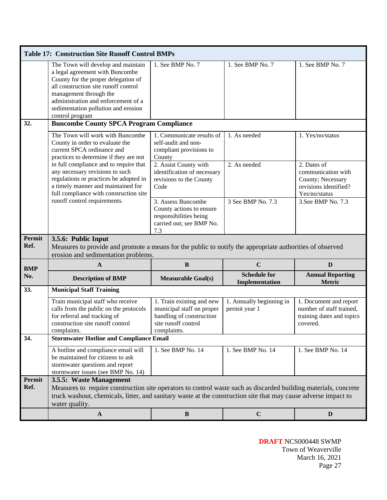|                | <b>Table 17: Construction Site Runoff Control BMPs</b>                                                                                                                                                                                                                          |                                                                                                                          |                                           |                                                                                                  |  |  |
|----------------|---------------------------------------------------------------------------------------------------------------------------------------------------------------------------------------------------------------------------------------------------------------------------------|--------------------------------------------------------------------------------------------------------------------------|-------------------------------------------|--------------------------------------------------------------------------------------------------|--|--|
|                | The Town will develop and maintain<br>a legal agreement with Buncombe<br>County for the proper delegation of<br>all construction site runoff control<br>management through the<br>administration and enforcement of a<br>sedimentation pollution and erosion<br>control program | 1. See BMP No. 7                                                                                                         | 1. See BMP No. 7                          | 1. See BMP No. 7                                                                                 |  |  |
| 32.            | <b>Buncombe County SPCA Program Compliance</b>                                                                                                                                                                                                                                  |                                                                                                                          |                                           |                                                                                                  |  |  |
|                | The Town will work with Buncombe<br>County in order to evaluate the<br>current SPCA ordinance and<br>practices to determine if they are not                                                                                                                                     | 1. Communicate results of<br>self-audit and non-<br>compliant provisions to<br>County                                    | 1. As needed                              | 1. Yes/no/status                                                                                 |  |  |
|                | in full compliance and to require that<br>any necessary revisions to such<br>regulations or practices be adopted in<br>a timely manner and maintained for<br>full compliance with construction site                                                                             | 2. Assist County with<br>identification of necessary<br>revisions to the County<br>Code                                  | 2. As needed                              | 2. Dates of<br>communication with<br>County; Necessary<br>revisions identified?<br>Yes/no/status |  |  |
|                | runoff control requirements.                                                                                                                                                                                                                                                    | 3. Assess Buncombe<br>County actions to ensure<br>responsibilities being<br>carried out; see BMP No.<br>7.3              | 3 See BMP No. 7.3                         | 3. See BMP No. $7.3$                                                                             |  |  |
| Permit<br>Ref. | 3.5.6: Public Input<br>Measures to provide and promote a means for the public to notify the appropriate authorities of observed<br>erosion and sedimentation problems.                                                                                                          |                                                                                                                          |                                           |                                                                                                  |  |  |
| <b>BMP</b>     | $\mathbf{A}$                                                                                                                                                                                                                                                                    | $\, {\bf B}$                                                                                                             | $\mathbf C$                               | D                                                                                                |  |  |
| No.            | <b>Description of BMP</b>                                                                                                                                                                                                                                                       | <b>Measurable Goal(s)</b>                                                                                                | <b>Schedule for</b><br>Implementation     | <b>Annual Reporting</b><br><b>Metric</b>                                                         |  |  |
| 33.            | <b>Municipal Staff Training</b>                                                                                                                                                                                                                                                 |                                                                                                                          |                                           |                                                                                                  |  |  |
|                | Train municipal staff who receive<br>calls from the public on the protocols<br>for referral and tracking of<br>construction site runoff control<br>complaints.                                                                                                                  | 1. Train existing and new<br>municipal staff on proper<br>handling of construction<br>site runoff control<br>complaints. | 1. Annually beginning in<br>permit year 1 | 1. Document and report<br>number of staff trained,<br>training dates and topics<br>covered.      |  |  |
| 34.            | <b>Stormwater Hotline and Compliance Email</b>                                                                                                                                                                                                                                  |                                                                                                                          |                                           |                                                                                                  |  |  |
|                | A hotline and compliance email will<br>be maintained for citizens to ask<br>stormwater questions and report<br>stormwater issues (see BMP No. 14)                                                                                                                               | 1. See BMP No. 14                                                                                                        | 1. See BMP No. 14                         | 1. See BMP No. 14                                                                                |  |  |
| Permit         | 3.5.5: Waste Management                                                                                                                                                                                                                                                         |                                                                                                                          |                                           |                                                                                                  |  |  |
| Ref.           | Measures to require construction site operators to control waste such as discarded building materials, concrete<br>truck washout, chemicals, litter, and sanitary waste at the construction site that may cause adverse impact to<br>water quality.                             |                                                                                                                          |                                           |                                                                                                  |  |  |
|                | $\mathbf{A}$                                                                                                                                                                                                                                                                    | $\bf{B}$                                                                                                                 | $\mathbf C$                               | D                                                                                                |  |  |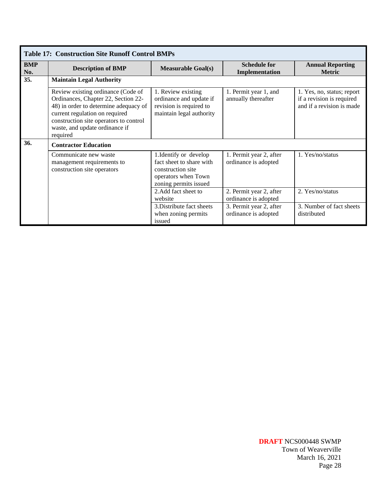|                   | <b>Table 17: Construction Site Runoff Control BMPs</b>                                                                                                                                                                                       |                                                                                                                         |                                                 |                                                                                      |  |
|-------------------|----------------------------------------------------------------------------------------------------------------------------------------------------------------------------------------------------------------------------------------------|-------------------------------------------------------------------------------------------------------------------------|-------------------------------------------------|--------------------------------------------------------------------------------------|--|
| <b>BMP</b><br>No. | <b>Description of BMP</b>                                                                                                                                                                                                                    | <b>Measurable Goal(s)</b>                                                                                               | <b>Schedule for</b><br>Implementation           | <b>Annual Reporting</b><br><b>Metric</b>                                             |  |
| 35.               | <b>Maintain Legal Authority</b>                                                                                                                                                                                                              |                                                                                                                         |                                                 |                                                                                      |  |
|                   | Review existing ordinance (Code of<br>Ordinances, Chapter 22, Section 22-<br>48) in order to determine adequacy of<br>current regulation on required<br>construction site operators to control<br>waste, and update ordinance if<br>required | 1. Review existing<br>ordinance and update if<br>revision is required to<br>maintain legal authority                    | 1. Permit year 1, and<br>annually thereafter    | 1. Yes, no, status; report<br>if a revision is required<br>and if a revision is made |  |
| 36.               | <b>Contractor Education</b>                                                                                                                                                                                                                  |                                                                                                                         |                                                 |                                                                                      |  |
|                   | Communicate new waste<br>management requirements to<br>construction site operators                                                                                                                                                           | 1. Identify or develop<br>fact sheet to share with<br>construction site<br>operators when Town<br>zoning permits issued | 1. Permit year 2, after<br>ordinance is adopted | 1. Yes/no/status                                                                     |  |
|                   |                                                                                                                                                                                                                                              | 2. Add fact sheet to<br>website                                                                                         | 2. Permit year 2, after<br>ordinance is adopted | 2. Yes/no/status                                                                     |  |
|                   |                                                                                                                                                                                                                                              | 3. Distribute fact sheets<br>when zoning permits<br>issued                                                              | 3. Permit year 2, after<br>ordinance is adopted | 3. Number of fact sheets<br>distributed                                              |  |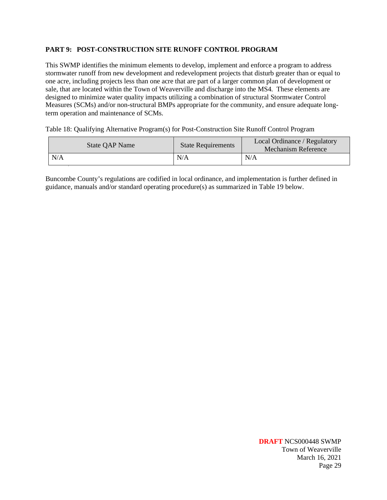#### **PART 9: POST-CONSTRUCTION SITE RUNOFF CONTROL PROGRAM**

This SWMP identifies the minimum elements to develop, implement and enforce a program to address stormwater runoff from new development and redevelopment projects that disturb greater than or equal to one acre, including projects less than one acre that are part of a larger common plan of development or sale, that are located within the Town of Weaverville and discharge into the MS4. These elements are designed to minimize water quality impacts utilizing a combination of structural Stormwater Control Measures (SCMs) and/or non-structural BMPs appropriate for the community, and ensure adequate longterm operation and maintenance of SCMs.

Table 18: Qualifying Alternative Program(s) for Post-Construction Site Runoff Control Program

| <b>State OAP Name</b> | <b>State Requirements</b> | Local Ordinance / Regulatory<br>Mechanism Reference |
|-----------------------|---------------------------|-----------------------------------------------------|
| N/A                   | N/A                       | N/A                                                 |

Buncombe County's regulations are codified in local ordinance, and implementation is further defined in guidance, manuals and/or standard operating procedure(s) as summarized in Table 19 below.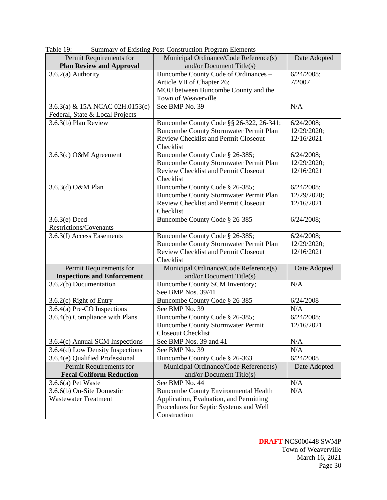| 1 avit 17.                         | Summary of Existing Fost-Construction Frogram Elements |              |
|------------------------------------|--------------------------------------------------------|--------------|
| Permit Requirements for            | Municipal Ordinance/Code Reference(s)                  | Date Adopted |
| <b>Plan Review and Approval</b>    | and/or Document Title $(s)$                            |              |
| $3.6.2(a)$ Authority               | Buncombe County Code of Ordinances -                   | 6/24/2008;   |
|                                    | Article VII of Chapter 26;                             | 7/2007       |
|                                    | MOU between Buncombe County and the                    |              |
|                                    | Town of Weaverville                                    |              |
| 3.6.3(a) & 15A NCAC 02H.0153(c)    | See BMP No. 39                                         | N/A          |
| Federal, State & Local Projects    |                                                        |              |
| 3.6.3(b) Plan Review               | Buncombe County Code §§ 26-322, 26-341;                | 6/24/2008;   |
|                                    | <b>Buncombe County Stormwater Permit Plan</b>          | 12/29/2020;  |
|                                    | <b>Review Checklist and Permit Closeout</b>            | 12/16/2021   |
|                                    | Checklist                                              |              |
| 3.6.3(c) O&M Agreement             | Buncombe County Code § 26-385;                         | 6/24/2008;   |
|                                    | <b>Buncombe County Stormwater Permit Plan</b>          | 12/29/2020;  |
|                                    | <b>Review Checklist and Permit Closeout</b>            | 12/16/2021   |
|                                    | Checklist                                              |              |
| 3.6.3(d) O&M Plan                  | Buncombe County Code § 26-385;                         | 6/24/2008;   |
|                                    | <b>Buncombe County Stormwater Permit Plan</b>          | 12/29/2020;  |
|                                    | <b>Review Checklist and Permit Closeout</b>            | 12/16/2021   |
|                                    | Checklist                                              |              |
| $3.6.3(e)$ Deed                    | Buncombe County Code § 26-385                          | 6/24/2008;   |
| Restrictions/Covenants             |                                                        |              |
| 3.6.3(f) Access Easements          | Buncombe County Code § 26-385;                         | 6/24/2008;   |
|                                    | <b>Buncombe County Stormwater Permit Plan</b>          | 12/29/2020;  |
|                                    | <b>Review Checklist and Permit Closeout</b>            | 12/16/2021   |
|                                    | Checklist                                              |              |
| Permit Requirements for            | Municipal Ordinance/Code Reference(s)                  | Date Adopted |
| <b>Inspections and Enforcement</b> | and/or Document Title $(s)$                            |              |
| 3.6.2(b) Documentation             | Buncombe County SCM Inventory;                         | N/A          |
|                                    | See BMP Nos. 39/41                                     |              |
| 3.6.2(c) Right of Entry            | Buncombe County Code § 26-385                          | 6/24/2008    |
| 3.6.4(a) Pre-CO Inspections        | See BMP No. 39                                         | N/A          |
| 3.6.4(b) Compliance with Plans     | Buncombe County Code § 26-385;                         | 6/24/2008;   |
|                                    | <b>Buncombe County Stormwater Permit</b>               | 12/16/2021   |
|                                    | Closeout Checklist                                     |              |
| 3.6.4(c) Annual SCM Inspections    | See BMP Nos. 39 and 41                                 | N/A          |
| 3.6.4(d) Low Density Inspections   | See BMP No. 39                                         | N/A          |
| 3.6.4(e) Qualified Professional    | Buncombe County Code § 26-363                          | 6/24/2008    |
| Permit Requirements for            | Municipal Ordinance/Code Reference(s)                  | Date Adopted |
| <b>Fecal Coliform Reduction</b>    | and/or Document Title $(s)$                            |              |
| $3.6.6(a)$ Pet Waste               | See BMP No. 44                                         | N/A          |
| 3.6.6(b) On-Site Domestic          | <b>Buncombe County Environmental Health</b>            | N/A          |
| <b>Wastewater Treatment</b>        | Application, Evaluation, and Permitting                |              |
|                                    | Procedures for Septic Systems and Well                 |              |
|                                    | Construction                                           |              |

Table 19: Summary of Existing Post-Construction Program Elements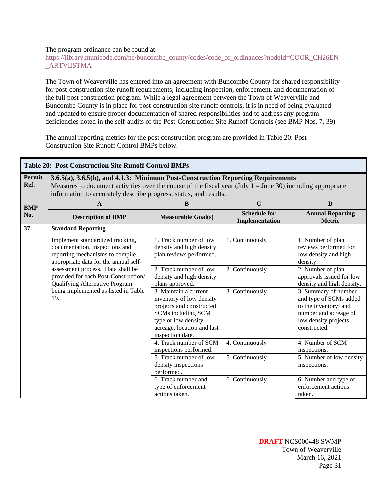#### The program ordinance can be found at:

### [https://library.municode.com/nc/buncombe\\_county/codes/code\\_of\\_ordinances?nodeId=COOR\\_CH26EN](https://library.municode.com/nc/buncombe_county/codes/code_of_ordinances?nodeId=COOR_CH26EN_ARTVIISTMA) [\\_ARTVIISTMA](https://library.municode.com/nc/buncombe_county/codes/code_of_ordinances?nodeId=COOR_CH26EN_ARTVIISTMA)

The Town of Weaverville has entered into an agreement with Buncombe County for shared responsibility for post-construction site runoff requirements, including inspection, enforcement, and documentation of the full post construction program. While a legal agreement between the Town of Weaverville and Buncombe County is in place for post-construction site runoff controls, it is in need of being evaluated and updated to ensure proper documentation of shared responsibilities and to address any program deficiencies noted in the self-audits of the Post-Construction Site Runoff Controls (see BMP Nos. 7, 39)

The annual reporting metrics for the post construction program are provided in Table 20: Post Construction Site Runoff Control BMPs below.

|                | <b>Table 20: Post Construction Site Runoff Control BMPs</b>                                                                                                                                                                                                           |                                                                                                                                                                              |                                       |                                                                                                                                          |  |
|----------------|-----------------------------------------------------------------------------------------------------------------------------------------------------------------------------------------------------------------------------------------------------------------------|------------------------------------------------------------------------------------------------------------------------------------------------------------------------------|---------------------------------------|------------------------------------------------------------------------------------------------------------------------------------------|--|
| Permit<br>Ref. | 3.6.5(a), 3.6.5(b), and 4.1.3: Minimum Post-Construction Reporting Requirements<br>Measures to document activities over the course of the fiscal year (July $1 -$ June 30) including appropriate<br>information to accurately describe progress, status, and results. |                                                                                                                                                                              |                                       |                                                                                                                                          |  |
| <b>BMP</b>     | A                                                                                                                                                                                                                                                                     | B                                                                                                                                                                            | $\mathbf C$                           | $\mathbf{D}$                                                                                                                             |  |
| No.            | <b>Description of BMP</b>                                                                                                                                                                                                                                             | <b>Measurable Goal(s)</b>                                                                                                                                                    | <b>Schedule for</b><br>Implementation | <b>Annual Reporting</b><br><b>Metric</b>                                                                                                 |  |
| 37.            | <b>Standard Reporting</b>                                                                                                                                                                                                                                             |                                                                                                                                                                              |                                       |                                                                                                                                          |  |
|                | Implement standardized tracking,<br>documentation, inspections and<br>reporting mechanisms to compile<br>appropriate data for the annual self-                                                                                                                        | 1. Track number of low<br>density and high density<br>plan reviews performed.                                                                                                | 1. Continuously                       | 1. Number of plan<br>reviews performed for<br>low density and high<br>density.                                                           |  |
|                | assessment process. Data shall be<br>provided for each Post-Construction/<br>Qualifying Alternative Program                                                                                                                                                           | 2. Track number of low<br>density and high density<br>plans approved.                                                                                                        | 2. Continuously                       | 2. Number of plan<br>approvals issued for low<br>density and high density.                                                               |  |
|                | being implemented as listed in Table<br>19.                                                                                                                                                                                                                           | 3. Maintain a current<br>inventory of low density<br>projects and constructed<br>SCMs including SCM<br>type or low density<br>acreage, location and last<br>inspection date. | 3. Continuously                       | 3. Summary of number<br>and type of SCMs added<br>to the inventory; and<br>number and acreage of<br>low density projects<br>constructed. |  |
|                |                                                                                                                                                                                                                                                                       | 4. Track number of SCM<br>inspections performed.                                                                                                                             | 4. Continuously                       | 4. Number of SCM<br>inspections.                                                                                                         |  |
|                |                                                                                                                                                                                                                                                                       | 5. Track number of low<br>density inspections<br>performed.                                                                                                                  | 5. Continuously                       | 5. Number of low density<br>inspections.                                                                                                 |  |
|                |                                                                                                                                                                                                                                                                       | 6. Track number and<br>type of enforcement<br>actions taken.                                                                                                                 | 6. Continuously                       | 6. Number and type of<br>enforcement actions<br>taken.                                                                                   |  |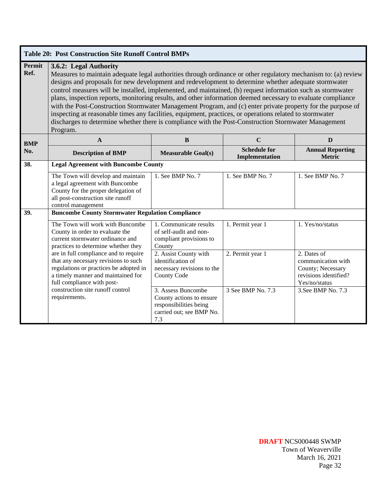|                | <b>Table 20: Post Construction Site Runoff Control BMPs</b>                                                                                                                                                                                                                                                                                                                                                                                                                                                                                                                                                                                                                                                                                                                                                                    |                                                                                                             |                                       |                                                                                                  |  |
|----------------|--------------------------------------------------------------------------------------------------------------------------------------------------------------------------------------------------------------------------------------------------------------------------------------------------------------------------------------------------------------------------------------------------------------------------------------------------------------------------------------------------------------------------------------------------------------------------------------------------------------------------------------------------------------------------------------------------------------------------------------------------------------------------------------------------------------------------------|-------------------------------------------------------------------------------------------------------------|---------------------------------------|--------------------------------------------------------------------------------------------------|--|
| Permit<br>Ref. | 3.6.2: Legal Authority<br>Measures to maintain adequate legal authorities through ordinance or other regulatory mechanism to: (a) review<br>designs and proposals for new development and redevelopment to determine whether adequate stormwater<br>control measures will be installed, implemented, and maintained, (b) request information such as stormwater<br>plans, inspection reports, monitoring results, and other information deemed necessary to evaluate compliance<br>with the Post-Construction Stormwater Management Program, and (c) enter private property for the purpose of<br>inspecting at reasonable times any facilities, equipment, practices, or operations related to stormwater<br>discharges to determine whether there is compliance with the Post-Construction Stormwater Management<br>Program. |                                                                                                             |                                       |                                                                                                  |  |
| <b>BMP</b>     | $\mathbf{A}$                                                                                                                                                                                                                                                                                                                                                                                                                                                                                                                                                                                                                                                                                                                                                                                                                   | B                                                                                                           | $\mathbf C$                           | D                                                                                                |  |
| No.            | <b>Description of BMP</b>                                                                                                                                                                                                                                                                                                                                                                                                                                                                                                                                                                                                                                                                                                                                                                                                      | <b>Measurable Goal(s)</b>                                                                                   | <b>Schedule for</b><br>Implementation | <b>Annual Reporting</b><br><b>Metric</b>                                                         |  |
| 38.            | <b>Legal Agreement with Buncombe County</b>                                                                                                                                                                                                                                                                                                                                                                                                                                                                                                                                                                                                                                                                                                                                                                                    |                                                                                                             |                                       |                                                                                                  |  |
|                | The Town will develop and maintain<br>a legal agreement with Buncombe<br>County for the proper delegation of<br>all post-construction site runoff<br>control management                                                                                                                                                                                                                                                                                                                                                                                                                                                                                                                                                                                                                                                        | 1. See BMP No. 7                                                                                            | 1. See BMP No. 7                      | 1. See BMP No. 7                                                                                 |  |
| 39.            | <b>Buncombe County Stormwater Regulation Compliance</b>                                                                                                                                                                                                                                                                                                                                                                                                                                                                                                                                                                                                                                                                                                                                                                        |                                                                                                             |                                       |                                                                                                  |  |
|                | The Town will work with Buncombe<br>County in order to evaluate the<br>current stormwater ordinance and<br>practices to determine whether they                                                                                                                                                                                                                                                                                                                                                                                                                                                                                                                                                                                                                                                                                 | 1. Communicate results<br>of self-audit and non-<br>compliant provisions to<br>County                       | 1. Permit year 1                      | 1. Yes/no/status                                                                                 |  |
|                | are in full compliance and to require<br>that any necessary revisions to such<br>regulations or practices be adopted in<br>a timely manner and maintained for<br>full compliance with post-                                                                                                                                                                                                                                                                                                                                                                                                                                                                                                                                                                                                                                    | 2. Assist County with<br>identification of<br>necessary revisions to the<br><b>County Code</b>              | 2. Permit year 1                      | 2. Dates of<br>communication with<br>County; Necessary<br>revisions identified?<br>Yes/no/status |  |
|                | construction site runoff control<br>requirements.                                                                                                                                                                                                                                                                                                                                                                                                                                                                                                                                                                                                                                                                                                                                                                              | 3. Assess Buncombe<br>County actions to ensure<br>responsibilities being<br>carried out; see BMP No.<br>7.3 | 3 See BMP No. 7.3                     | 3. See BMP No. 7.3                                                                               |  |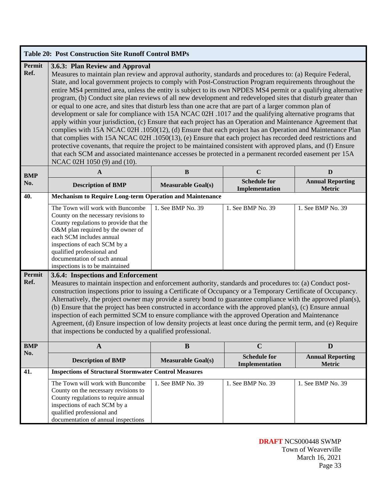|                       | <b>Table 20: Post Construction Site Runoff Control BMPs</b>                                                                                                                                                                                                                                                                                                                                                                                                                                                                                                                                                                                                                                                                                                                                                                                                                                                                                                                                                                                                                                                                                                                                                                                                                                                                 |                           |                                       |                                          |  |
|-----------------------|-----------------------------------------------------------------------------------------------------------------------------------------------------------------------------------------------------------------------------------------------------------------------------------------------------------------------------------------------------------------------------------------------------------------------------------------------------------------------------------------------------------------------------------------------------------------------------------------------------------------------------------------------------------------------------------------------------------------------------------------------------------------------------------------------------------------------------------------------------------------------------------------------------------------------------------------------------------------------------------------------------------------------------------------------------------------------------------------------------------------------------------------------------------------------------------------------------------------------------------------------------------------------------------------------------------------------------|---------------------------|---------------------------------------|------------------------------------------|--|
| Permit<br>Ref.        | 3.6.3: Plan Review and Approval<br>Measures to maintain plan review and approval authority, standards and procedures to: (a) Require Federal,<br>State, and local government projects to comply with Post-Construction Program requirements throughout the<br>entire MS4 permitted area, unless the entity is subject to its own NPDES MS4 permit or a qualifying alternative<br>program, (b) Conduct site plan reviews of all new development and redeveloped sites that disturb greater than<br>or equal to one acre, and sites that disturb less than one acre that are part of a larger common plan of<br>development or sale for compliance with 15A NCAC 02H .1017 and the qualifying alternative programs that<br>apply within your jurisdiction, (c) Ensure that each project has an Operation and Maintenance Agreement that<br>complies with 15A NCAC 02H .1050(12), (d) Ensure that each project has an Operation and Maintenance Plan<br>that complies with 15A NCAC 02H .1050(13), (e) Ensure that each project has recorded deed restrictions and<br>protective covenants, that require the project to be maintained consistent with approved plans, and (f) Ensure<br>that each SCM and associated maintenance accesses be protected in a permanent recorded easement per 15A<br>NCAC 02H 1050 (9) and (10). |                           |                                       |                                          |  |
| <b>BMP</b>            | $\mathbf{A}$                                                                                                                                                                                                                                                                                                                                                                                                                                                                                                                                                                                                                                                                                                                                                                                                                                                                                                                                                                                                                                                                                                                                                                                                                                                                                                                | $\, {\bf B}$              | $\mathbf C$                           | D                                        |  |
| No.                   | <b>Description of BMP</b>                                                                                                                                                                                                                                                                                                                                                                                                                                                                                                                                                                                                                                                                                                                                                                                                                                                                                                                                                                                                                                                                                                                                                                                                                                                                                                   | <b>Measurable Goal(s)</b> | <b>Schedule for</b><br>Implementation | <b>Annual Reporting</b><br><b>Metric</b> |  |
| 40.                   | <b>Mechanism to Require Long-term Operation and Maintenance</b>                                                                                                                                                                                                                                                                                                                                                                                                                                                                                                                                                                                                                                                                                                                                                                                                                                                                                                                                                                                                                                                                                                                                                                                                                                                             |                           |                                       |                                          |  |
|                       | The Town will work with Buncombe<br>County on the necessary revisions to<br>County regulations to provide that the<br>O&M plan required by the owner of<br>each SCM includes annual<br>inspections of each SCM by a<br>qualified professional and<br>documentation of such annual<br>inspections is to be maintained                                                                                                                                                                                                                                                                                                                                                                                                                                                                                                                                                                                                                                                                                                                                                                                                                                                                                                                                                                                                        | 1. See BMP No. 39         | 1. See BMP No. 39                     | 1. See BMP No. 39                        |  |
| <b>Permit</b><br>Ref. | 3.6.4: Inspections and Enforcement<br>Measures to maintain inspection and enforcement authority, standards and procedures to: (a) Conduct post-<br>construction inspections prior to issuing a Certificate of Occupancy or a Temporary Certificate of Occupancy.<br>Alternatively, the project owner may provide a surety bond to guarantee compliance with the approved plan(s),<br>(b) Ensure that the project has been constructed in accordance with the approved plan(s), (c) Ensure annual<br>inspection of each permitted SCM to ensure compliance with the approved Operation and Maintenance<br>Agreement, (d) Ensure inspection of low density projects at least once during the permit term, and (e) Require<br>that inspections be conducted by a qualified professional.                                                                                                                                                                                                                                                                                                                                                                                                                                                                                                                                       |                           |                                       |                                          |  |
| <b>BMP</b>            | $\mathbf{A}$                                                                                                                                                                                                                                                                                                                                                                                                                                                                                                                                                                                                                                                                                                                                                                                                                                                                                                                                                                                                                                                                                                                                                                                                                                                                                                                | $\bf{B}$                  | $\mathbf C$                           | D                                        |  |
| No.                   | <b>Description of BMP</b>                                                                                                                                                                                                                                                                                                                                                                                                                                                                                                                                                                                                                                                                                                                                                                                                                                                                                                                                                                                                                                                                                                                                                                                                                                                                                                   | <b>Measurable Goal(s)</b> | <b>Schedule for</b><br>Implementation | <b>Annual Reporting</b><br>Metric        |  |
| 41.                   | <b>Inspections of Structural Stormwater Control Measures</b>                                                                                                                                                                                                                                                                                                                                                                                                                                                                                                                                                                                                                                                                                                                                                                                                                                                                                                                                                                                                                                                                                                                                                                                                                                                                |                           |                                       |                                          |  |
|                       | The Town will work with Buncombe<br>County on the necessary revisions to<br>County regulations to require annual<br>inspections of each SCM by a<br>qualified professional and<br>documentation of annual inspections                                                                                                                                                                                                                                                                                                                                                                                                                                                                                                                                                                                                                                                                                                                                                                                                                                                                                                                                                                                                                                                                                                       | 1. See BMP No. 39         | 1. See BMP No. 39                     | 1. See BMP No. 39                        |  |

**DRAFT** NCS000448 SWMP Town of Weaverville March 16, 2021 Page 33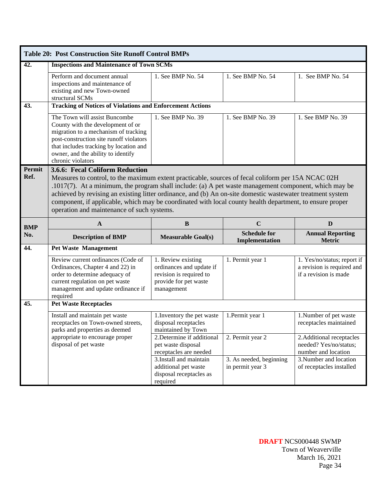|            | <b>Table 20: Post Construction Site Runoff Control BMPs</b>                                                                                                                                                                                                                                                                                                                                                                                                                            |                                                                                                      |                                             |                                                                                                      |
|------------|----------------------------------------------------------------------------------------------------------------------------------------------------------------------------------------------------------------------------------------------------------------------------------------------------------------------------------------------------------------------------------------------------------------------------------------------------------------------------------------|------------------------------------------------------------------------------------------------------|---------------------------------------------|------------------------------------------------------------------------------------------------------|
| 42.        | <b>Inspections and Maintenance of Town SCMs</b>                                                                                                                                                                                                                                                                                                                                                                                                                                        |                                                                                                      |                                             |                                                                                                      |
|            | Perform and document annual<br>inspections and maintenance of<br>existing and new Town-owned<br>structural SCMs                                                                                                                                                                                                                                                                                                                                                                        | 1. See BMP $No. 54$                                                                                  | 1. See BMP No. 54                           | 1. See BMP No. 54                                                                                    |
| 43.        | <b>Tracking of Notices of Violations and Enforcement Actions</b>                                                                                                                                                                                                                                                                                                                                                                                                                       |                                                                                                      |                                             |                                                                                                      |
|            | The Town will assist Buncombe<br>County with the development of or<br>migration to a mechanism of tracking<br>post-construction site runoff violators<br>that includes tracking by location and<br>owner, and the ability to identify<br>chronic violators                                                                                                                                                                                                                             | 1. See BMP No. 39                                                                                    | 1. See BMP No. 39                           | 1. See BMP No. 39                                                                                    |
| Permit     | 3.6.6: Fecal Coliform Reduction                                                                                                                                                                                                                                                                                                                                                                                                                                                        |                                                                                                      |                                             |                                                                                                      |
| Ref.       | Measures to control, to the maximum extent practicable, sources of fecal coliform per 15A NCAC 02H<br>$.1017(7)$ . At a minimum, the program shall include: (a) A pet waste management component, which may be<br>achieved by revising an existing litter ordinance, and (b) An on-site domestic wastewater treatment system<br>component, if applicable, which may be coordinated with local county health department, to ensure proper<br>operation and maintenance of such systems. |                                                                                                      |                                             |                                                                                                      |
| <b>BMP</b> | $\mathbf{A}$                                                                                                                                                                                                                                                                                                                                                                                                                                                                           | B                                                                                                    | $\mathbf C$                                 | D                                                                                                    |
| No.        | <b>Description of BMP</b>                                                                                                                                                                                                                                                                                                                                                                                                                                                              | <b>Measurable Goal(s)</b>                                                                            | <b>Schedule for</b><br>Implementation       | <b>Annual Reporting</b><br><b>Metric</b>                                                             |
| 44.        | <b>Pet Waste Management</b>                                                                                                                                                                                                                                                                                                                                                                                                                                                            |                                                                                                      |                                             |                                                                                                      |
|            | Review current ordinances (Code of<br>Ordinances, Chapter 4 and 22) in<br>order to determine adequacy of                                                                                                                                                                                                                                                                                                                                                                               | 1. Review existing<br>ordinances and update if<br>revision is required to                            | 1. Permit year 1                            | 1. Yes/no/status; report if<br>a revision is required and                                            |
|            | current regulation on pet waste<br>management and update ordinance if<br>required                                                                                                                                                                                                                                                                                                                                                                                                      | provide for pet waste<br>management                                                                  |                                             | if a revision is made                                                                                |
| 45.        | <b>Pet Waste Receptacles</b>                                                                                                                                                                                                                                                                                                                                                                                                                                                           |                                                                                                      |                                             |                                                                                                      |
|            | Install and maintain pet waste<br>receptacles on Town-owned streets,<br>parks and properties as deemed                                                                                                                                                                                                                                                                                                                                                                                 | 1. Inventory the pet waste<br>disposal receptacles<br>maintained by Town                             | 1. Permit year 1                            | 1.Number of pet waste<br>receptacles maintained                                                      |
|            | appropriate to encourage proper<br>disposal of pet waste                                                                                                                                                                                                                                                                                                                                                                                                                               | 2. Determine if additional<br>pet waste disposal<br>receptacles are needed<br>3.Install and maintain | 2. Permit year 2<br>3. As needed, beginning | 2. Additional receptacles<br>needed? Yes/no/status;<br>number and location<br>3. Number and location |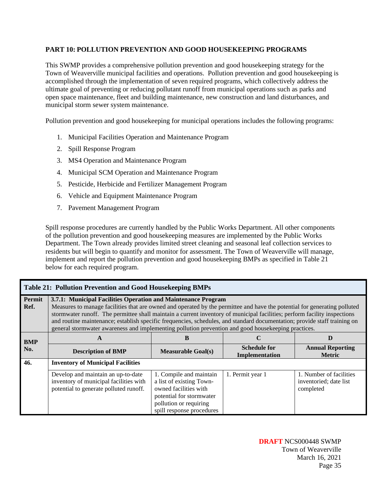#### **PART 10: POLLUTION PREVENTION AND GOOD HOUSEKEEPING PROGRAMS**

This SWMP provides a comprehensive pollution prevention and good housekeeping strategy for the Town of Weaverville municipal facilities and operations. Pollution prevention and good housekeeping is accomplished through the implementation of seven required programs, which collectively address the ultimate goal of preventing or reducing pollutant runoff from municipal operations such as parks and open space maintenance, fleet and building maintenance, new construction and land disturbances, and municipal storm sewer system maintenance.

Pollution prevention and good housekeeping for municipal operations includes the following programs:

- 1. Municipal Facilities Operation and Maintenance Program
- 2. Spill Response Program
- 3. MS4 Operation and Maintenance Program
- 4. Municipal SCM Operation and Maintenance Program
- 5. Pesticide, Herbicide and Fertilizer Management Program
- 6. Vehicle and Equipment Maintenance Program
- 7. Pavement Management Program

Spill response procedures are currently handled by the Public Works Department. All other components of the pollution prevention and good housekeeping measures are implemented by the Public Works Department. The Town already provides limited street cleaning and seasonal leaf collection services to residents but will begin to quantify and monitor for assessment. The Town of Weaverville will manage, implement and report the pollution prevention and good housekeeping BMPs as specified in Table 21 below for each required program.

|                | <b>Table 21: Pollution Prevention and Good Housekeeping BMPs</b>                                                                                                                                                                                                                                                                                                                                                                                                                                                                                            |                           |                                       |                                          |  |
|----------------|-------------------------------------------------------------------------------------------------------------------------------------------------------------------------------------------------------------------------------------------------------------------------------------------------------------------------------------------------------------------------------------------------------------------------------------------------------------------------------------------------------------------------------------------------------------|---------------------------|---------------------------------------|------------------------------------------|--|
| Permit<br>Ref. | 3.7.1: Municipal Facilities Operation and Maintenance Program<br>Measures to manage facilities that are owned and operated by the permittee and have the potential for generating polluted<br>stormwater runoff. The permittee shall maintain a current inventory of municipal facilities; perform facility inspections<br>and routine maintenance; establish specific frequencies, schedules, and standard documentation; provide staff training on<br>general stormwater awareness and implementing pollution prevention and good housekeeping practices. |                           |                                       |                                          |  |
| <b>BMP</b>     | A                                                                                                                                                                                                                                                                                                                                                                                                                                                                                                                                                           | В                         | C                                     | D                                        |  |
| No.            | <b>Description of BMP</b>                                                                                                                                                                                                                                                                                                                                                                                                                                                                                                                                   | <b>Measurable Goal(s)</b> | <b>Schedule for</b><br>Implementation | <b>Annual Reporting</b><br><b>Metric</b> |  |
| 46.            | <b>Inventory of Municipal Facilities</b>                                                                                                                                                                                                                                                                                                                                                                                                                                                                                                                    |                           |                                       |                                          |  |
|                |                                                                                                                                                                                                                                                                                                                                                                                                                                                                                                                                                             |                           |                                       |                                          |  |

**DRAFT** NCS000448 SWMP Town of Weaverville March 16, 2021 Page 35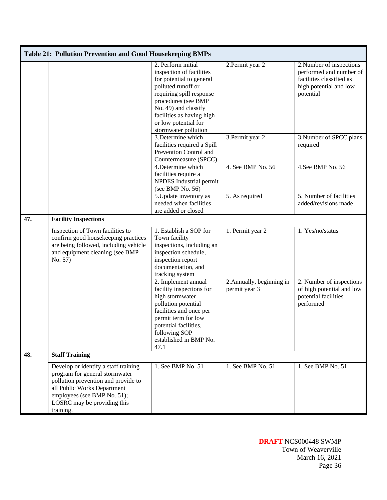|     | Table 21: Pollution Prevention and Good Housekeeping BMPs                                                                                                                                                               |                                                                                                                                                                                                                                                          |                                            |                                                                                                                        |
|-----|-------------------------------------------------------------------------------------------------------------------------------------------------------------------------------------------------------------------------|----------------------------------------------------------------------------------------------------------------------------------------------------------------------------------------------------------------------------------------------------------|--------------------------------------------|------------------------------------------------------------------------------------------------------------------------|
|     |                                                                                                                                                                                                                         | 2. Perform initial<br>inspection of facilities<br>for potential to general<br>polluted runoff or<br>requiring spill response<br>procedures (see BMP<br>No. 49) and classify<br>facilities as having high<br>or low potential for<br>stormwater pollution | 2. Permit year 2                           | 2. Number of inspections<br>performed and number of<br>facilities classified as<br>high potential and low<br>potential |
|     |                                                                                                                                                                                                                         | 3.Determine which<br>facilities required a Spill<br>Prevention Control and<br>Countermeasure (SPCC)                                                                                                                                                      | 3. Permit year 2                           | 3. Number of SPCC plans<br>required                                                                                    |
|     |                                                                                                                                                                                                                         | 4.Determine which<br>facilities require a<br>NPDES Industrial permit<br>(see BMP No. 56)                                                                                                                                                                 | 4. See BMP No. 56                          | 4. See BMP No. 56                                                                                                      |
|     |                                                                                                                                                                                                                         | 5. Update inventory as<br>needed when facilities<br>are added or closed                                                                                                                                                                                  | 5. As required                             | 5. Number of facilities<br>added/revisions made                                                                        |
| 47. | <b>Facility Inspections</b>                                                                                                                                                                                             |                                                                                                                                                                                                                                                          |                                            |                                                                                                                        |
|     | Inspection of Town facilities to<br>confirm good housekeeping practices<br>are being followed, including vehicle<br>and equipment cleaning (see BMP<br>No. 57)                                                          | 1. Establish a SOP for<br>Town facility<br>inspections, including an<br>inspection schedule,<br>inspection report<br>documentation, and<br>tracking system                                                                                               | 1. Permit year 2                           | 1. Yes/no/status                                                                                                       |
|     |                                                                                                                                                                                                                         | 2. Implement annual<br>facility inspections for<br>high stormwater<br>pollution potential<br>facilities and once per<br>permit term for low<br>potential facilities,<br>following SOP<br>established in BMP No.<br>47.1                                  | 2. Annually, beginning in<br>permit year 3 | 2. Number of inspections<br>of high potential and low<br>potential facilities<br>performed                             |
| 48. | <b>Staff Training</b>                                                                                                                                                                                                   |                                                                                                                                                                                                                                                          |                                            |                                                                                                                        |
|     | Develop or identify a staff training<br>program for general stormwater<br>pollution prevention and provide to<br>all Public Works Department<br>employees (see BMP No. 51);<br>LOSRC may be providing this<br>training. | 1. See BMP No. 51                                                                                                                                                                                                                                        | 1. See BMP No. 51                          | 1. See BMP No. 51                                                                                                      |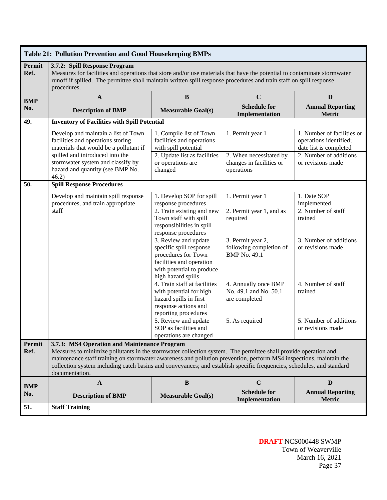|                | Table 21: Pollution Prevention and Good Housekeeping BMPs                                                                                                                                                                                                                                                                                                                                                                       |                                                                                                                                                       |                                                                     |                                                                                |  |
|----------------|---------------------------------------------------------------------------------------------------------------------------------------------------------------------------------------------------------------------------------------------------------------------------------------------------------------------------------------------------------------------------------------------------------------------------------|-------------------------------------------------------------------------------------------------------------------------------------------------------|---------------------------------------------------------------------|--------------------------------------------------------------------------------|--|
| Permit<br>Ref. | 3.7.2: Spill Response Program<br>Measures for facilities and operations that store and/or use materials that have the potential to contaminate stormwater<br>runoff if spilled. The permittee shall maintain written spill response procedures and train staff on spill response<br>procedures.                                                                                                                                 |                                                                                                                                                       |                                                                     |                                                                                |  |
| <b>BMP</b>     | $\mathbf{A}$                                                                                                                                                                                                                                                                                                                                                                                                                    | $\, {\bf B}$                                                                                                                                          | $\mathbf C$                                                         | D                                                                              |  |
| No.            | <b>Description of BMP</b>                                                                                                                                                                                                                                                                                                                                                                                                       | <b>Measurable Goal(s)</b>                                                                                                                             | <b>Schedule for</b><br>Implementation                               | <b>Annual Reporting</b><br><b>Metric</b>                                       |  |
| 49.            | <b>Inventory of Facilities with Spill Potential</b>                                                                                                                                                                                                                                                                                                                                                                             |                                                                                                                                                       |                                                                     |                                                                                |  |
|                | Develop and maintain a list of Town<br>facilities and operations storing<br>materials that would be a pollutant if                                                                                                                                                                                                                                                                                                              | 1. Compile list of Town<br>facilities and operations<br>with spill potential                                                                          | 1. Permit year 1                                                    | 1. Number of facilities or<br>operations identified;<br>date list is completed |  |
|                | spilled and introduced into the<br>stormwater system and classify by<br>hazard and quantity (see BMP No.<br>46.2)                                                                                                                                                                                                                                                                                                               | 2. Update list as facilities<br>or operations are<br>changed                                                                                          | 2. When necessitated by<br>changes in facilities or<br>operations   | 2. Number of additions<br>or revisions made                                    |  |
| 50.            | <b>Spill Response Procedures</b>                                                                                                                                                                                                                                                                                                                                                                                                |                                                                                                                                                       |                                                                     |                                                                                |  |
|                | Develop and maintain spill response<br>procedures, and train appropriate                                                                                                                                                                                                                                                                                                                                                        | 1. Develop SOP for spill<br>response procedures                                                                                                       | 1. Permit year 1                                                    | 1. Date SOP<br>implemented                                                     |  |
|                | staff                                                                                                                                                                                                                                                                                                                                                                                                                           | 2. Train existing and new<br>Town staff with spill<br>responsibilities in spill<br>response procedures                                                | 2. Permit year 1, and as<br>required                                | 2. Number of staff<br>trained                                                  |  |
|                |                                                                                                                                                                                                                                                                                                                                                                                                                                 | 3. Review and update<br>specific spill response<br>procedures for Town<br>facilities and operation<br>with potential to produce<br>high hazard spills | 3. Permit year 2,<br>following completion of<br><b>BMP</b> No. 49.1 | 3. Number of additions<br>or revisions made                                    |  |
|                |                                                                                                                                                                                                                                                                                                                                                                                                                                 | 4. Train staff at facilities<br>with potential for high<br>hazard spills in first<br>response actions and<br>reporting procedures                     | 4. Annually once BMP<br>No. 49.1 and No. 50.1<br>are completed      | 4. Number of staff<br>trained                                                  |  |
|                |                                                                                                                                                                                                                                                                                                                                                                                                                                 | 5. Review and update<br>SOP as facilities and<br>operations are changed                                                                               | 5. As required                                                      | 5. Number of additions<br>or revisions made                                    |  |
| Permit<br>Ref. | 3.7.3: MS4 Operation and Maintenance Program<br>Measures to minimize pollutants in the stormwater collection system. The permittee shall provide operation and<br>maintenance staff training on stormwater awareness and pollution prevention, perform MS4 inspections, maintain the<br>collection system including catch basins and conveyances; and establish specific frequencies, schedules, and standard<br>documentation. |                                                                                                                                                       |                                                                     |                                                                                |  |
| <b>BMP</b>     | $\mathbf{A}$                                                                                                                                                                                                                                                                                                                                                                                                                    | $\, {\bf B}$                                                                                                                                          | $\mathbf C$                                                         | D                                                                              |  |
| No.            | <b>Description of BMP</b>                                                                                                                                                                                                                                                                                                                                                                                                       | <b>Measurable Goal(s)</b>                                                                                                                             | <b>Schedule for</b><br>Implementation                               | <b>Annual Reporting</b><br><b>Metric</b>                                       |  |
| 51.            | <b>Staff Training</b>                                                                                                                                                                                                                                                                                                                                                                                                           |                                                                                                                                                       |                                                                     |                                                                                |  |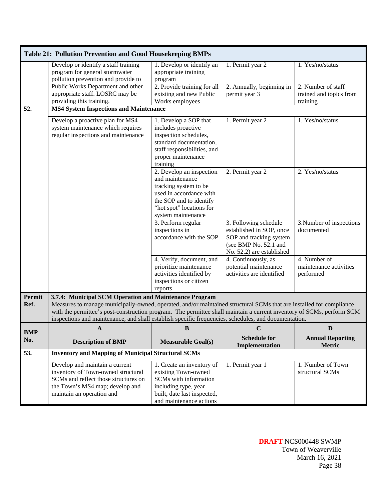|            | Table 21: Pollution Prevention and Good Housekeeping BMPs                                                                                                                                                                                                                                                                                            |                                                                                                                                                                              |                                                                                                                                    |                                                           |
|------------|------------------------------------------------------------------------------------------------------------------------------------------------------------------------------------------------------------------------------------------------------------------------------------------------------------------------------------------------------|------------------------------------------------------------------------------------------------------------------------------------------------------------------------------|------------------------------------------------------------------------------------------------------------------------------------|-----------------------------------------------------------|
|            | Develop or identify a staff training<br>program for general stormwater<br>pollution prevention and provide to                                                                                                                                                                                                                                        | 1. Develop or identify an<br>appropriate training<br>program                                                                                                                 | 1. Permit year 2                                                                                                                   | 1. Yes/no/status                                          |
|            | Public Works Department and other<br>appropriate staff. LOSRC may be<br>providing this training.                                                                                                                                                                                                                                                     | 2. Provide training for all<br>existing and new Public<br>Works employees                                                                                                    | 2. Annually, beginning in<br>permit year 3                                                                                         | 2. Number of staff<br>trained and topics from<br>training |
| 52.        | <b>MS4 System Inspections and Maintenance</b>                                                                                                                                                                                                                                                                                                        |                                                                                                                                                                              |                                                                                                                                    |                                                           |
|            | Develop a proactive plan for MS4<br>system maintenance which requires<br>regular inspections and maintenance                                                                                                                                                                                                                                         | 1. Develop a SOP that<br>includes proactive<br>inspection schedules,<br>standard documentation,<br>staff responsibilities, and<br>proper maintenance<br>training             | 1. Permit year 2                                                                                                                   | 1. Yes/no/status                                          |
|            |                                                                                                                                                                                                                                                                                                                                                      | 2. Develop an inspection<br>and maintenance<br>tracking system to be<br>used in accordance with<br>the SOP and to identify<br>"hot spot" locations for<br>system maintenance | 2. Permit year 2                                                                                                                   | 2. Yes/no/status                                          |
|            |                                                                                                                                                                                                                                                                                                                                                      | 3. Perform regular<br>inspections in<br>accordance with the SOP                                                                                                              | 3. Following schedule<br>established in SOP, once<br>SOP and tracking system<br>(see BMP No. 52.1 and<br>No. 52.2) are established | 3. Number of inspections<br>documented                    |
|            |                                                                                                                                                                                                                                                                                                                                                      | 4. Verify, document, and<br>prioritize maintenance<br>activities identified by<br>inspections or citizen<br>reports                                                          | 4. Continuously, as<br>potential maintenance<br>activities are identified                                                          | 4. Number of<br>maintenance activities<br>performed       |
| Permit     | 3.7.4: Municipal SCM Operation and Maintenance Program                                                                                                                                                                                                                                                                                               |                                                                                                                                                                              |                                                                                                                                    |                                                           |
| Ref.       | Measures to manage municipally-owned, operated, and/or maintained structural SCMs that are installed for compliance<br>with the permittee's post-construction program. The permittee shall maintain a current inventory of SCMs, perform SCM<br>inspections and maintenance, and shall establish specific frequencies, schedules, and documentation. |                                                                                                                                                                              |                                                                                                                                    |                                                           |
| <b>BMP</b> | A                                                                                                                                                                                                                                                                                                                                                    | $\, {\bf B}$                                                                                                                                                                 | $\mathbf C$                                                                                                                        | D                                                         |
| No.        | <b>Description of BMP</b>                                                                                                                                                                                                                                                                                                                            | <b>Measurable Goal(s)</b>                                                                                                                                                    | <b>Schedule for</b><br>Implementation                                                                                              | <b>Annual Reporting</b><br><b>Metric</b>                  |
| 53.        | <b>Inventory and Mapping of Municipal Structural SCMs</b>                                                                                                                                                                                                                                                                                            |                                                                                                                                                                              |                                                                                                                                    |                                                           |
|            | Develop and maintain a current<br>inventory of Town-owned structural<br>SCMs and reflect those structures on<br>the Town's MS4 map; develop and<br>maintain an operation and                                                                                                                                                                         | 1. Create an inventory of<br>existing Town-owned<br>SCMs with information<br>including type, year<br>built, date last inspected,<br>and maintenance actions                  | 1. Permit year 1                                                                                                                   | 1. Number of Town<br>structural SCMs                      |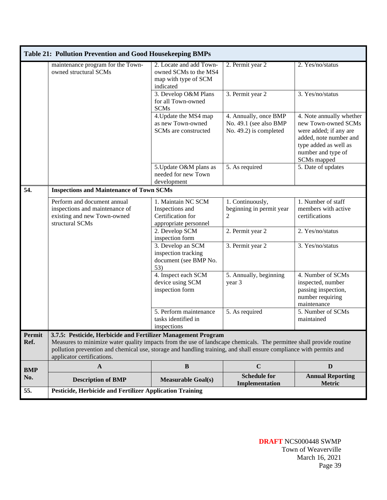|                | <b>Table 21: Pollution Prevention and Good Housekeeping BMPs</b>                                                                                                                                                                                                                                                                         |                                                                                       |                                                                           |                                                                                                                                                                   |
|----------------|------------------------------------------------------------------------------------------------------------------------------------------------------------------------------------------------------------------------------------------------------------------------------------------------------------------------------------------|---------------------------------------------------------------------------------------|---------------------------------------------------------------------------|-------------------------------------------------------------------------------------------------------------------------------------------------------------------|
|                | maintenance program for the Town-<br>owned structural SCMs                                                                                                                                                                                                                                                                               | 2. Locate and add Town-<br>owned SCMs to the MS4<br>map with type of SCM<br>indicated | 2. Permit year 2                                                          | 2. Yes/no/status                                                                                                                                                  |
|                |                                                                                                                                                                                                                                                                                                                                          | 3. Develop O&M Plans<br>for all Town-owned<br><b>SCMs</b>                             | 3. Permit year 2                                                          | 3. Yes/no/status                                                                                                                                                  |
|                |                                                                                                                                                                                                                                                                                                                                          | 4. Update the MS4 map<br>as new Town-owned<br>SCMs are constructed                    | 4. Annually, once BMP<br>No. 49.1 (see also BMP<br>No. 49.2) is completed | 4. Note annually whether<br>new Town-owned SCMs<br>were added; if any are<br>added, note number and<br>type added as well as<br>number and type of<br>SCMs mapped |
|                |                                                                                                                                                                                                                                                                                                                                          | 5. Update O&M plans as<br>needed for new Town<br>development                          | 5. As required                                                            | 5. Date of updates                                                                                                                                                |
| 54.            | <b>Inspections and Maintenance of Town SCMs</b>                                                                                                                                                                                                                                                                                          |                                                                                       |                                                                           |                                                                                                                                                                   |
|                | Perform and document annual<br>inspections and maintenance of<br>existing and new Town-owned<br>structural SCMs                                                                                                                                                                                                                          | 1. Maintain NC SCM<br>Inspections and<br>Certification for<br>appropriate personnel   | 1. Continuously,<br>beginning in permit year<br>$\overline{2}$            | 1. Number of staff<br>members with active<br>certifications                                                                                                       |
|                |                                                                                                                                                                                                                                                                                                                                          | 2. Develop SCM<br>inspection form                                                     | 2. Permit year 2                                                          | 2. Yes/no/status                                                                                                                                                  |
|                |                                                                                                                                                                                                                                                                                                                                          | 3. Develop an SCM<br>inspection tracking<br>document (see BMP No.<br>53)              | 3. Permit year 2                                                          | 3. Yes/no/status                                                                                                                                                  |
|                |                                                                                                                                                                                                                                                                                                                                          | 4. Inspect each SCM<br>device using SCM<br>inspection form                            | 5. Annually, beginning<br>year 3                                          | 4. Number of SCMs<br>inspected, number<br>passing inspection,<br>number requiring<br>maintenance                                                                  |
|                |                                                                                                                                                                                                                                                                                                                                          | 5. Perform maintenance<br>tasks identified in<br>inspections                          | 5. As required                                                            | 5. Number of SCMs<br>maintained                                                                                                                                   |
| Permit<br>Ref. | 3.7.5: Pesticide, Herbicide and Fertilizer Management Program<br>Measures to minimize water quality impacts from the use of landscape chemicals. The permittee shall provide routine<br>pollution prevention and chemical use, storage and handling training, and shall ensure compliance with permits and<br>applicator certifications. |                                                                                       |                                                                           |                                                                                                                                                                   |
| <b>BMP</b>     | $\mathbf{A}$                                                                                                                                                                                                                                                                                                                             | $\, {\bf B}$                                                                          | $\mathbf C$                                                               | D                                                                                                                                                                 |
| No.            | <b>Description of BMP</b>                                                                                                                                                                                                                                                                                                                | <b>Measurable Goal(s)</b>                                                             | <b>Schedule for</b><br>Implementation                                     | <b>Annual Reporting</b><br><b>Metric</b>                                                                                                                          |
| 55.            | <b>Pesticide, Herbicide and Fertilizer Application Training</b>                                                                                                                                                                                                                                                                          |                                                                                       |                                                                           |                                                                                                                                                                   |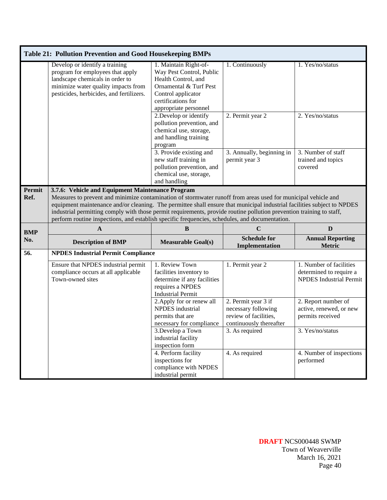|                | <b>Table 21: Pollution Prevention and Good Housekeeping BMPs</b>                                                                                                                                                                                                                                                                                                                                                                                                                                                       |                                                                                                                                                                         |                                                                                                |                                                                                      |
|----------------|------------------------------------------------------------------------------------------------------------------------------------------------------------------------------------------------------------------------------------------------------------------------------------------------------------------------------------------------------------------------------------------------------------------------------------------------------------------------------------------------------------------------|-------------------------------------------------------------------------------------------------------------------------------------------------------------------------|------------------------------------------------------------------------------------------------|--------------------------------------------------------------------------------------|
|                | Develop or identify a training<br>program for employees that apply<br>landscape chemicals in order to<br>minimize water quality impacts from<br>pesticides, herbicides, and fertilizers.                                                                                                                                                                                                                                                                                                                               | 1. Maintain Right-of-<br>Way Pest Control, Public<br>Health Control, and<br>Ornamental & Turf Pest<br>Control applicator<br>certifications for<br>appropriate personnel | 1. Continuously                                                                                | 1. Yes/no/status                                                                     |
|                |                                                                                                                                                                                                                                                                                                                                                                                                                                                                                                                        | 2. Develop or identify<br>pollution prevention, and<br>chemical use, storage,<br>and handling training<br>program                                                       | 2. Permit year 2                                                                               | 2. Yes/no/status                                                                     |
|                |                                                                                                                                                                                                                                                                                                                                                                                                                                                                                                                        | 3. Provide existing and<br>new staff training in<br>pollution prevention, and<br>chemical use, storage,<br>and handling                                                 | 3. Annually, beginning in<br>permit year 3                                                     | 3. Number of staff<br>trained and topics<br>covered                                  |
| Permit<br>Ref. | 3.7.6: Vehicle and Equipment Maintenance Program<br>Measures to prevent and minimize contamination of stormwater runoff from areas used for municipal vehicle and<br>equipment maintenance and/or cleaning. The permittee shall ensure that municipal industrial facilities subject to NPDES<br>industrial permitting comply with those permit requirements, provide routine pollution prevention training to staff,<br>perform routine inspections, and establish specific frequencies, schedules, and documentation. |                                                                                                                                                                         |                                                                                                |                                                                                      |
| <b>BMP</b>     | $\mathbf{A}$                                                                                                                                                                                                                                                                                                                                                                                                                                                                                                           | $\, {\bf B}$                                                                                                                                                            | $\mathbf C$                                                                                    | D                                                                                    |
| No.            | <b>Description of BMP</b>                                                                                                                                                                                                                                                                                                                                                                                                                                                                                              | <b>Measurable Goal(s)</b>                                                                                                                                               | <b>Schedule for</b><br>Implementation                                                          | <b>Annual Reporting</b><br><b>Metric</b>                                             |
| 56.            | <b>NPDES Industrial Permit Compliance</b>                                                                                                                                                                                                                                                                                                                                                                                                                                                                              |                                                                                                                                                                         |                                                                                                |                                                                                      |
|                | Ensure that NPDES industrial permit<br>compliance occurs at all applicable<br>Town-owned sites                                                                                                                                                                                                                                                                                                                                                                                                                         | 1. Review Town<br>facilities inventory to<br>determine if any facilities<br>requires a NPDES<br><b>Industrial Permit</b>                                                | 1. Permit year 2                                                                               | 1. Number of facilities<br>determined to require a<br><b>NPDES</b> Industrial Permit |
|                |                                                                                                                                                                                                                                                                                                                                                                                                                                                                                                                        | 2. Apply for or renew all<br><b>NPDES</b> industrial<br>permits that are<br>necessary for compliance                                                                    | 2. Permit year 3 if<br>necessary following<br>review of facilities,<br>continuously thereafter | 2. Report number of<br>active, renewed, or new<br>permits received                   |
|                |                                                                                                                                                                                                                                                                                                                                                                                                                                                                                                                        | 3.Develop a Town<br>industrial facility<br>inspection form                                                                                                              | 3. As required                                                                                 | 3. Yes/no/status                                                                     |
|                |                                                                                                                                                                                                                                                                                                                                                                                                                                                                                                                        | 4. Perform facility<br>inspections for                                                                                                                                  | 4. As required                                                                                 | 4. Number of inspections<br>performed                                                |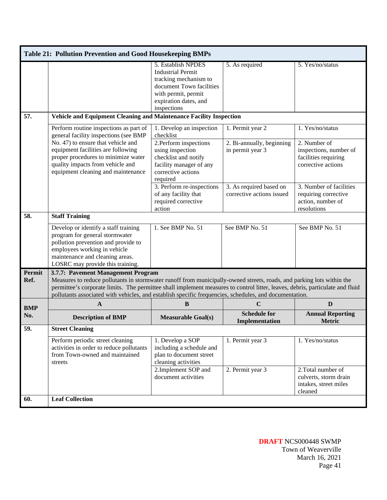| Table 21: Pollution Prevention and Good Housekeeping BMPs |                                                                                                                                                                                                                                                                                                                                                                                                        |                                                                                                                                                                    |                                                                   |                                                                                                          |  |  |  |
|-----------------------------------------------------------|--------------------------------------------------------------------------------------------------------------------------------------------------------------------------------------------------------------------------------------------------------------------------------------------------------------------------------------------------------------------------------------------------------|--------------------------------------------------------------------------------------------------------------------------------------------------------------------|-------------------------------------------------------------------|----------------------------------------------------------------------------------------------------------|--|--|--|
|                                                           |                                                                                                                                                                                                                                                                                                                                                                                                        | 5. Establish NPDES<br><b>Industrial Permit</b><br>tracking mechanism to<br>document Town facilities<br>with permit, permit<br>expiration dates, and<br>inspections | 5. As required                                                    | 5. Yes/no/status                                                                                         |  |  |  |
| 57.                                                       | Vehicle and Equipment Cleaning and Maintenance Facility Inspection                                                                                                                                                                                                                                                                                                                                     |                                                                                                                                                                    |                                                                   |                                                                                                          |  |  |  |
|                                                           | Perform routine inspections as part of<br>general facility inspections (see BMP<br>No. 47) to ensure that vehicle and<br>equipment facilities are following<br>proper procedures to minimize water<br>quality impacts from vehicle and                                                                                                                                                                 | 1. Develop an inspection<br>checklist<br>2. Perform inspections<br>using inspection<br>checklist and notify<br>facility manager of any                             | 1. Permit year 2<br>2. Bi-annually, beginning<br>in permit year 3 | 1. Yes/no/status<br>2. Number of<br>inspections, number of<br>facilities requiring<br>corrective actions |  |  |  |
|                                                           | equipment cleaning and maintenance                                                                                                                                                                                                                                                                                                                                                                     | corrective actions<br>required                                                                                                                                     |                                                                   |                                                                                                          |  |  |  |
|                                                           |                                                                                                                                                                                                                                                                                                                                                                                                        | 3. Perform re-inspections<br>of any facility that<br>required corrective<br>action                                                                                 | 3. As required based on<br>corrective actions issued              | 3. Number of facilities<br>requiring corrective<br>action, number of<br>resolutions                      |  |  |  |
| 58.                                                       | <b>Staff Training</b>                                                                                                                                                                                                                                                                                                                                                                                  |                                                                                                                                                                    |                                                                   |                                                                                                          |  |  |  |
|                                                           | Develop or identify a staff training<br>program for general stormwater<br>pollution prevention and provide to<br>employees working in vehicle<br>maintenance and cleaning areas.<br>LOSRC may provide this training.                                                                                                                                                                                   | 1. See BMP No. 51                                                                                                                                                  | See BMP No. 51                                                    | See BMP No. 51                                                                                           |  |  |  |
| Permit<br>Ref.                                            | 3.7.7: Pavement Management Program<br>Measures to reduce pollutants in stormwater runoff from municipally-owned streets, roads, and parking lots within the<br>permittee's corporate limits. The permittee shall implement measures to control litter, leaves, debris, particulate and fluid<br>pollutants associated with vehicles, and establish specific frequencies, schedules, and documentation. |                                                                                                                                                                    |                                                                   |                                                                                                          |  |  |  |
| <b>BMP</b>                                                | A                                                                                                                                                                                                                                                                                                                                                                                                      | B                                                                                                                                                                  | $\mathbf C$                                                       | D                                                                                                        |  |  |  |
| No.                                                       | <b>Description of BMP</b>                                                                                                                                                                                                                                                                                                                                                                              | <b>Measurable Goal(s)</b>                                                                                                                                          | <b>Schedule for</b><br>Implementation                             | <b>Annual Reporting</b><br><b>Metric</b>                                                                 |  |  |  |
| 59.                                                       | <b>Street Cleaning</b>                                                                                                                                                                                                                                                                                                                                                                                 |                                                                                                                                                                    |                                                                   |                                                                                                          |  |  |  |
|                                                           | Perform periodic street cleaning<br>activities in order to reduce pollutants<br>from Town-owned and maintained<br>streets                                                                                                                                                                                                                                                                              | 1. Develop a SOP<br>including a schedule and<br>plan to document street<br>cleaning activities                                                                     | 1. Permit year 3                                                  | 1. Yes/no/status                                                                                         |  |  |  |
|                                                           |                                                                                                                                                                                                                                                                                                                                                                                                        | 2. Implement SOP and<br>document activities                                                                                                                        | 2. Permit year 3                                                  | 2. Total number of<br>culverts, storm drain<br>intakes, street miles<br>cleaned                          |  |  |  |
| 60.                                                       | <b>Leaf Collection</b>                                                                                                                                                                                                                                                                                                                                                                                 |                                                                                                                                                                    |                                                                   |                                                                                                          |  |  |  |